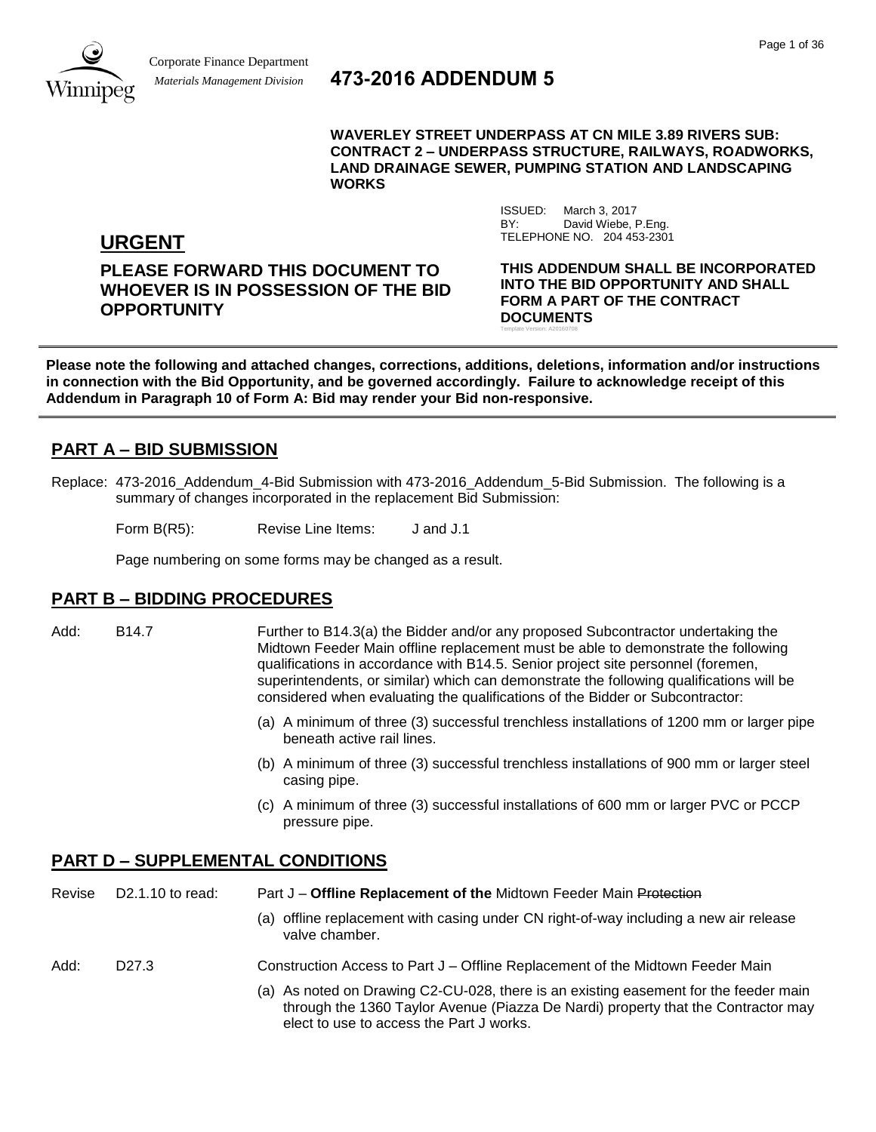

# *Materials Management Division* **473-2016 ADDENDUM 5**

**WAVERLEY STREET UNDERPASS AT CN MILE 3.89 RIVERS SUB: CONTRACT 2 – UNDERPASS STRUCTURE, RAILWAYS, ROADWORKS, LAND DRAINAGE SEWER, PUMPING STATION AND LANDSCAPING WORKS**

> ISSUED: March 3, 2017 BY: David Wiebe, P.Eng.

TELEPHONE NO. 204 453-2301

**URGENT**

**PLEASE FORWARD THIS DOCUMENT TO WHOEVER IS IN POSSESSION OF THE BID OPPORTUNITY**

**THIS ADDENDUM SHALL BE INCORPORATED INTO THE BID OPPORTUNITY AND SHALL FORM A PART OF THE CONTRACT DOCUMENTS** Template Version: A20160708

**Please note the following and attached changes, corrections, additions, deletions, information and/or instructions in connection with the Bid Opportunity, and be governed accordingly. Failure to acknowledge receipt of this Addendum in Paragraph 10 of Form A: Bid may render your Bid non-responsive.**

# **PART A – BID SUBMISSION**

Replace: 473-2016 Addendum 4-Bid Submission with 473-2016 Addendum 5-Bid Submission. The following is a summary of changes incorporated in the replacement Bid Submission:

Form B(R5): Revise Line Items: J and J.1

Page numbering on some forms may be changed as a result.

# **PART B – BIDDING PROCEDURES**

- Add: B14.7 Further to B14.3(a) the Bidder and/or any proposed Subcontractor undertaking the Midtown Feeder Main offline replacement must be able to demonstrate the following qualifications in accordance with B14.5. Senior project site personnel (foremen, superintendents, or similar) which can demonstrate the following qualifications will be considered when evaluating the qualifications of the Bidder or Subcontractor:
	- (a) A minimum of three (3) successful trenchless installations of 1200 mm or larger pipe beneath active rail lines.
	- (b) A minimum of three (3) successful trenchless installations of 900 mm or larger steel casing pipe.
	- (c) A minimum of three (3) successful installations of 600 mm or larger PVC or PCCP pressure pipe.

# **PART D – SUPPLEMENTAL CONDITIONS**

| Revise | D2.1.10 to read:  | Part J – Offline Replacement of the Midtown Feeder Main Protection                                      |  |  |
|--------|-------------------|---------------------------------------------------------------------------------------------------------|--|--|
|        |                   | (a) offline replacement with casing under CN right-of-way including a new air release<br>valve chamber. |  |  |
| Add:   | D <sub>27.3</sub> | Construction Access to Part J – Offline Replacement of the Midtown Feeder Main                          |  |  |
|        |                   | (a) As noted on Drawing C2-CLL028, there is an evisting easement for the feeder main                    |  |  |

As noted on Drawing C2-CU-028, there is an existing easement for the feeder main through the 1360 Taylor Avenue (Piazza De Nardi) property that the Contractor may elect to use to access the Part J works.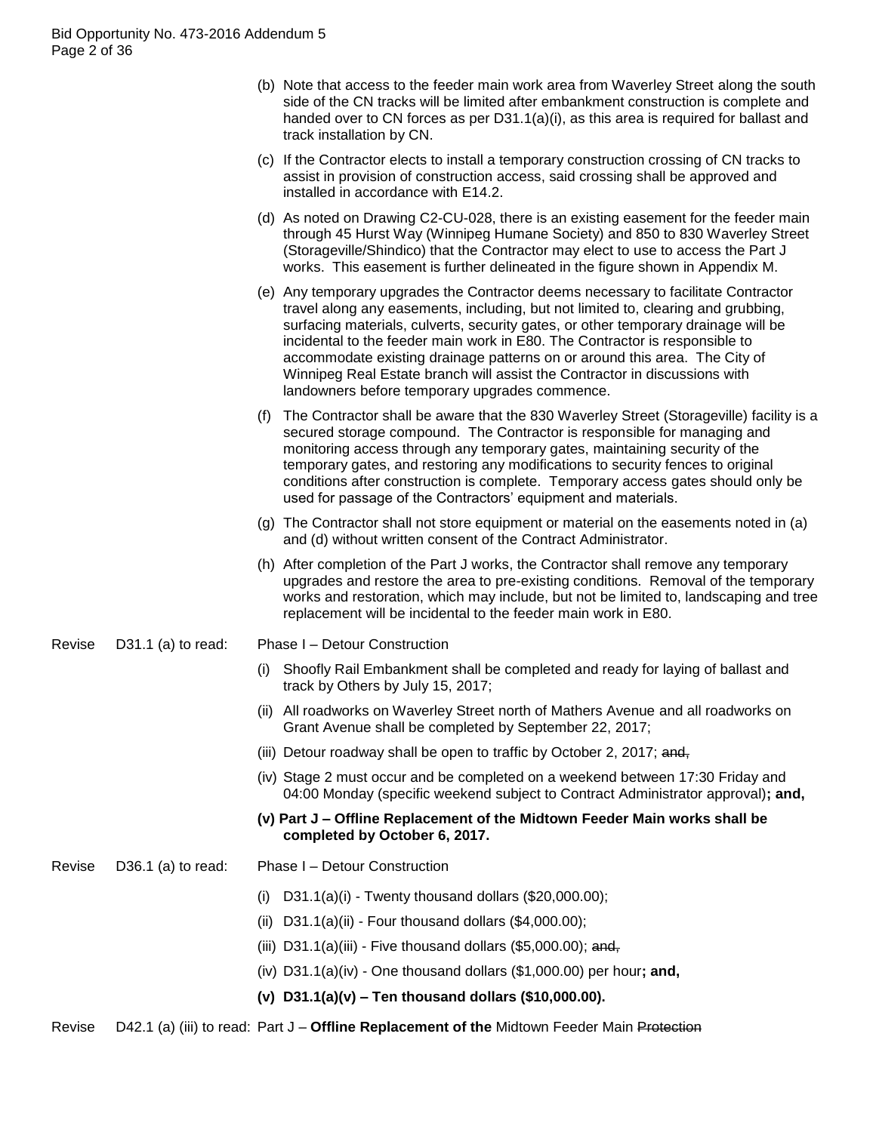|        |                    |      | (b) Note that access to the feeder main work area from Waverley Street along the south<br>side of the CN tracks will be limited after embankment construction is complete and<br>handed over to CN forces as per $D31.1(a)(i)$ , as this area is required for ballast and<br>track installation by CN.                                                                                                                                                                                                                                                     |
|--------|--------------------|------|------------------------------------------------------------------------------------------------------------------------------------------------------------------------------------------------------------------------------------------------------------------------------------------------------------------------------------------------------------------------------------------------------------------------------------------------------------------------------------------------------------------------------------------------------------|
|        |                    |      | (c) If the Contractor elects to install a temporary construction crossing of CN tracks to<br>assist in provision of construction access, said crossing shall be approved and<br>installed in accordance with E14.2.                                                                                                                                                                                                                                                                                                                                        |
|        |                    |      | (d) As noted on Drawing C2-CU-028, there is an existing easement for the feeder main<br>through 45 Hurst Way (Winnipeg Humane Society) and 850 to 830 Waverley Street<br>(Storageville/Shindico) that the Contractor may elect to use to access the Part J<br>works. This easement is further delineated in the figure shown in Appendix M.                                                                                                                                                                                                                |
|        |                    |      | (e) Any temporary upgrades the Contractor deems necessary to facilitate Contractor<br>travel along any easements, including, but not limited to, clearing and grubbing,<br>surfacing materials, culverts, security gates, or other temporary drainage will be<br>incidental to the feeder main work in E80. The Contractor is responsible to<br>accommodate existing drainage patterns on or around this area. The City of<br>Winnipeg Real Estate branch will assist the Contractor in discussions with<br>landowners before temporary upgrades commence. |
|        |                    | (f)  | The Contractor shall be aware that the 830 Waverley Street (Storageville) facility is a<br>secured storage compound. The Contractor is responsible for managing and<br>monitoring access through any temporary gates, maintaining security of the<br>temporary gates, and restoring any modifications to security fences to original<br>conditions after construction is complete. Temporary access gates should only be<br>used for passage of the Contractors' equipment and materials.                                                                  |
|        |                    |      | (g) The Contractor shall not store equipment or material on the easements noted in (a)<br>and (d) without written consent of the Contract Administrator.                                                                                                                                                                                                                                                                                                                                                                                                   |
|        |                    |      | (h) After completion of the Part J works, the Contractor shall remove any temporary<br>upgrades and restore the area to pre-existing conditions. Removal of the temporary<br>works and restoration, which may include, but not be limited to, landscaping and tree<br>replacement will be incidental to the feeder main work in E80.                                                                                                                                                                                                                       |
| Revise | D31.1 (a) to read: |      | Phase I - Detour Construction                                                                                                                                                                                                                                                                                                                                                                                                                                                                                                                              |
|        |                    | (i)  | Shoofly Rail Embankment shall be completed and ready for laying of ballast and<br>track by Others by July 15, 2017;                                                                                                                                                                                                                                                                                                                                                                                                                                        |
|        |                    |      | (ii) All roadworks on Waverley Street north of Mathers Avenue and all roadworks on<br>Grant Avenue shall be completed by September 22, 2017;                                                                                                                                                                                                                                                                                                                                                                                                               |
|        |                    |      | (iii) Detour roadway shall be open to traffic by October 2, 2017; and,                                                                                                                                                                                                                                                                                                                                                                                                                                                                                     |
|        |                    |      | (iv) Stage 2 must occur and be completed on a weekend between 17:30 Friday and<br>04:00 Monday (specific weekend subject to Contract Administrator approval); and,                                                                                                                                                                                                                                                                                                                                                                                         |
|        |                    |      | (v) Part J - Offline Replacement of the Midtown Feeder Main works shall be<br>completed by October 6, 2017.                                                                                                                                                                                                                                                                                                                                                                                                                                                |
| Revise | D36.1 (a) to read: |      | Phase I - Detour Construction                                                                                                                                                                                                                                                                                                                                                                                                                                                                                                                              |
|        |                    | (i)  | D31.1(a)(i) - Twenty thousand dollars $(\$20,000.00)$ ;                                                                                                                                                                                                                                                                                                                                                                                                                                                                                                    |
|        |                    | (ii) | D31.1(a)(ii) - Four thousand dollars $(\$4,000.00)$ ;                                                                                                                                                                                                                                                                                                                                                                                                                                                                                                      |
|        |                    |      | (iii) D31.1(a)(iii) - Five thousand dollars $(\$5,000.00)$ ; and,                                                                                                                                                                                                                                                                                                                                                                                                                                                                                          |
|        |                    |      | (iv) $D31.1(a)(iv)$ - One thousand dollars (\$1,000.00) per hour; and,                                                                                                                                                                                                                                                                                                                                                                                                                                                                                     |
|        |                    |      | (v) $D31.1(a)(v)$ – Ten thousand dollars (\$10,000.00).                                                                                                                                                                                                                                                                                                                                                                                                                                                                                                    |
|        |                    |      |                                                                                                                                                                                                                                                                                                                                                                                                                                                                                                                                                            |

Revise D42.1 (a) (iii) to read: Part J - Offline Replacement of the Midtown Feeder Main Protection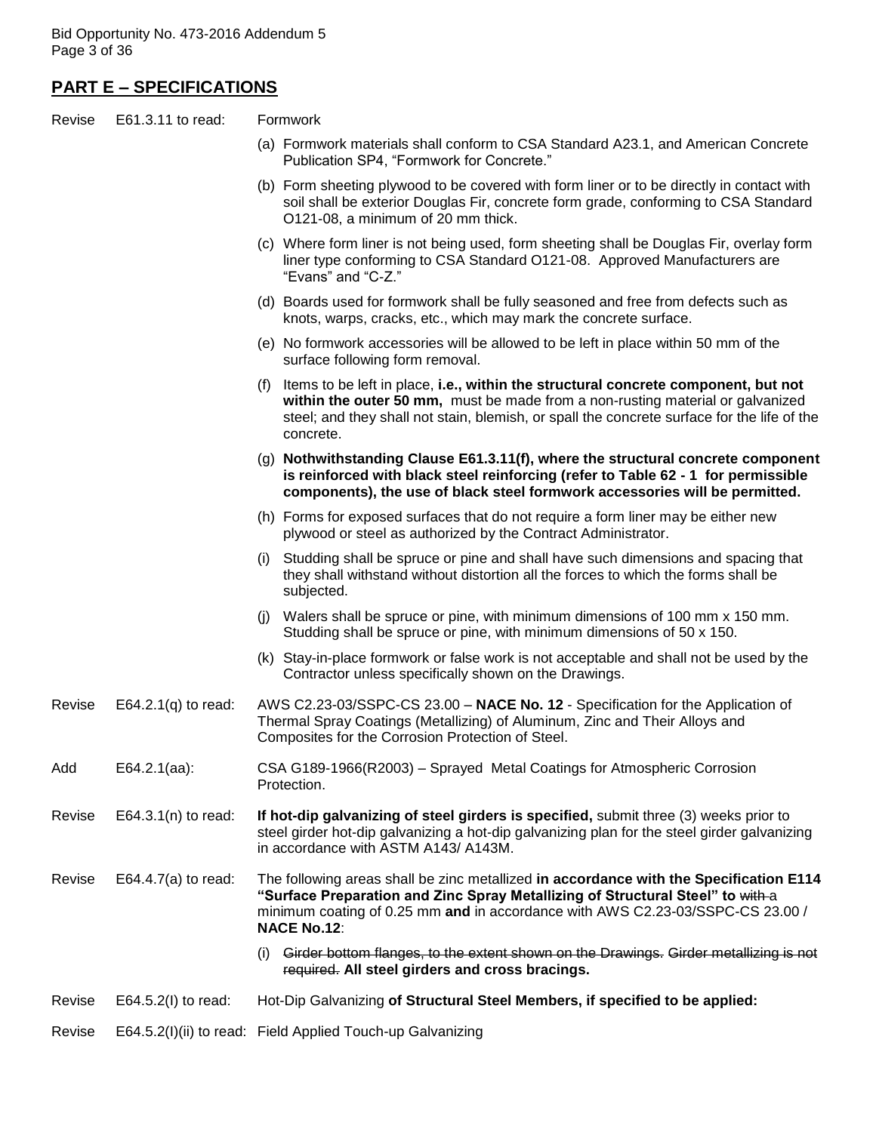# **PART E – SPECIFICATIONS**

| Revise | E61.3.11 to read:      | Formwork |                                                                                                                                                                                                                                                                                      |  |  |
|--------|------------------------|----------|--------------------------------------------------------------------------------------------------------------------------------------------------------------------------------------------------------------------------------------------------------------------------------------|--|--|
|        |                        |          | (a) Formwork materials shall conform to CSA Standard A23.1, and American Concrete<br>Publication SP4, "Formwork for Concrete."                                                                                                                                                       |  |  |
|        |                        |          | (b) Form sheeting plywood to be covered with form liner or to be directly in contact with<br>soil shall be exterior Douglas Fir, concrete form grade, conforming to CSA Standard<br>O121-08, a minimum of 20 mm thick.                                                               |  |  |
|        |                        |          | (c) Where form liner is not being used, form sheeting shall be Douglas Fir, overlay form<br>liner type conforming to CSA Standard O121-08. Approved Manufacturers are<br>"Evans" and "C-Z."                                                                                          |  |  |
|        |                        |          | (d) Boards used for formwork shall be fully seasoned and free from defects such as<br>knots, warps, cracks, etc., which may mark the concrete surface.                                                                                                                               |  |  |
|        |                        |          | (e) No formwork accessories will be allowed to be left in place within 50 mm of the<br>surface following form removal.                                                                                                                                                               |  |  |
|        |                        |          | (f) Items to be left in place, i.e., within the structural concrete component, but not<br>within the outer 50 mm, must be made from a non-rusting material or galvanized<br>steel; and they shall not stain, blemish, or spall the concrete surface for the life of the<br>concrete. |  |  |
|        |                        |          | (g) Nothwithstanding Clause E61.3.11(f), where the structural concrete component<br>is reinforced with black steel reinforcing (refer to Table 62 - 1 for permissible<br>components), the use of black steel formwork accessories will be permitted.                                 |  |  |
|        |                        |          | (h) Forms for exposed surfaces that do not require a form liner may be either new<br>plywood or steel as authorized by the Contract Administrator.                                                                                                                                   |  |  |
|        |                        |          | (i) Studding shall be spruce or pine and shall have such dimensions and spacing that<br>they shall withstand without distortion all the forces to which the forms shall be<br>subjected.                                                                                             |  |  |
|        |                        |          | (j) Walers shall be spruce or pine, with minimum dimensions of 100 mm x 150 mm.<br>Studding shall be spruce or pine, with minimum dimensions of 50 x 150.                                                                                                                            |  |  |
|        |                        |          | (k) Stay-in-place formwork or false work is not acceptable and shall not be used by the<br>Contractor unless specifically shown on the Drawings.                                                                                                                                     |  |  |
| Revise | E64.2.1 $(q)$ to read: |          | AWS C2.23-03/SSPC-CS 23.00 - NACE No. 12 - Specification for the Application of<br>Thermal Spray Coatings (Metallizing) of Aluminum, Zinc and Their Alloys and<br>Composites for the Corrosion Protection of Steel.                                                                  |  |  |
| Add    | $E64.2.1(aa)$ :        |          | CSA G189-1966(R2003) - Sprayed Metal Coatings for Atmospheric Corrosion<br>Protection.                                                                                                                                                                                               |  |  |
| Revise | E64.3.1 $(n)$ to read: |          | If hot-dip galvanizing of steel girders is specified, submit three (3) weeks prior to<br>steel girder hot-dip galvanizing a hot-dip galvanizing plan for the steel girder galvanizing<br>in accordance with ASTM A143/ A143M.                                                        |  |  |
| Revise | E64.4.7(a) to read:    |          | The following areas shall be zinc metallized in accordance with the Specification E114<br>"Surface Preparation and Zinc Spray Metallizing of Structural Steel" to with-a<br>minimum coating of 0.25 mm and in accordance with AWS C2.23-03/SSPC-CS 23.00 /<br><b>NACE No.12:</b>     |  |  |
|        |                        | (i)      | Girder bottom flanges, to the extent shown on the Drawings. Girder metallizing is not<br>required. All steel girders and cross bracings.                                                                                                                                             |  |  |
| Revise | E64.5.2(I) to read:    |          | Hot-Dip Galvanizing of Structural Steel Members, if specified to be applied:                                                                                                                                                                                                         |  |  |

Revise E64.5.2(I)(ii) to read: Field Applied Touch-up Galvanizing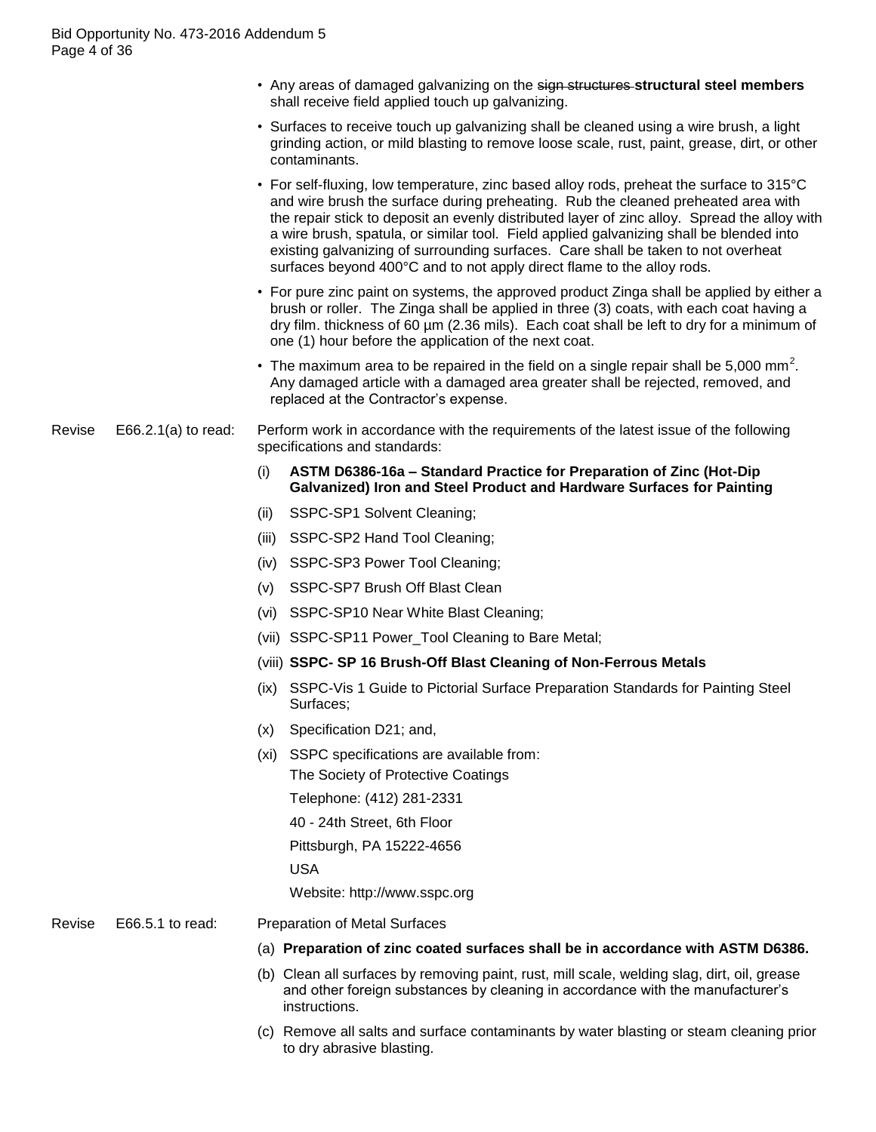- Any areas of damaged galvanizing on the sign structures **structural steel members** shall receive field applied touch up galvanizing.
- Surfaces to receive touch up galvanizing shall be cleaned using a wire brush, a light grinding action, or mild blasting to remove loose scale, rust, paint, grease, dirt, or other contaminants.
- For self-fluxing, low temperature, zinc based alloy rods, preheat the surface to 315°C and wire brush the surface during preheating. Rub the cleaned preheated area with the repair stick to deposit an evenly distributed layer of zinc alloy. Spread the alloy with a wire brush, spatula, or similar tool. Field applied galvanizing shall be blended into existing galvanizing of surrounding surfaces. Care shall be taken to not overheat surfaces beyond 400°C and to not apply direct flame to the alloy rods.
- For pure zinc paint on systems, the approved product Zinga shall be applied by either a brush or roller. The Zinga shall be applied in three (3) coats, with each coat having a dry film. thickness of 60 µm (2.36 mils). Each coat shall be left to dry for a minimum of one (1) hour before the application of the next coat.
- The maximum area to be repaired in the field on a single repair shall be 5,000 mm<sup>2</sup>. Any damaged article with a damaged area greater shall be rejected, removed, and replaced at the Contractor's expense.

#### Revise E66.2.1(a) to read: Perform work in accordance with the requirements of the latest issue of the following specifications and standards:

- (i) **ASTM D6386-16a – Standard Practice for Preparation of Zinc (Hot-Dip Galvanized) Iron and Steel Product and Hardware Surfaces for Painting**
- (ii) SSPC-SP1 Solvent Cleaning;
- (iii) SSPC-SP2 Hand Tool Cleaning;
- (iv) SSPC-SP3 Power Tool Cleaning;
- (v) SSPC-SP7 Brush Off Blast Clean
- (vi) SSPC-SP10 Near White Blast Cleaning;
- (vii) SSPC-SP11 Power\_Tool Cleaning to Bare Metal;
- (viii) **SSPC- SP 16 Brush-Off Blast Cleaning of Non-Ferrous Metals**
- (ix) SSPC-Vis 1 Guide to Pictorial Surface Preparation Standards for Painting Steel Surfaces;
- (x) Specification D21; and,
- (xi) SSPC specifications are available from: The Society of Protective Coatings Telephone: (412) 281-2331 40 - 24th Street, 6th Floor Pittsburgh, PA 15222-4656 USA Website: http://www.sspc.org

- Revise E66.5.1 to read: Preparation of Metal Surfaces
	- (a) **Preparation of zinc coated surfaces shall be in accordance with ASTM D6386.**
	- (b) Clean all surfaces by removing paint, rust, mill scale, welding slag, dirt, oil, grease and other foreign substances by cleaning in accordance with the manufacturer"s instructions.
	- (c) Remove all salts and surface contaminants by water blasting or steam cleaning prior to dry abrasive blasting.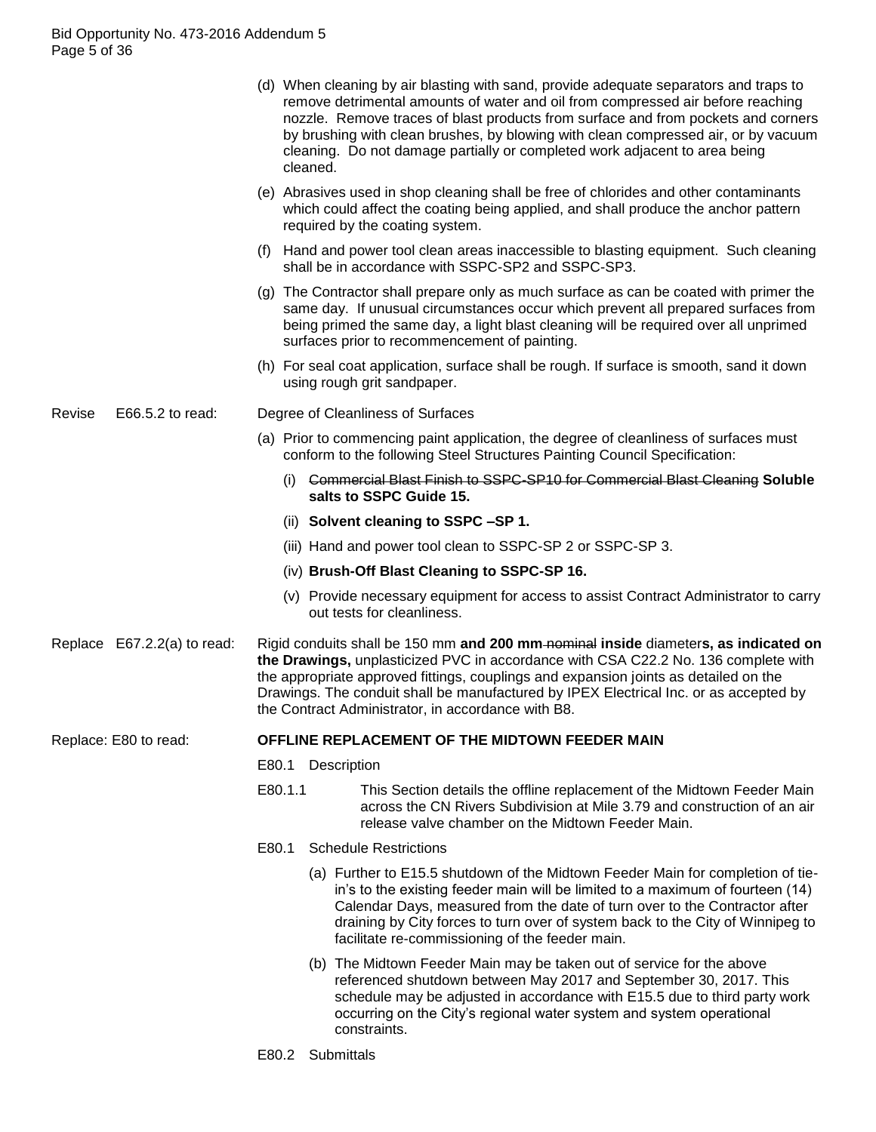|                       |                             |                                                                                                                                                                                                                                                                                                                                                                                                                  | cleaned.                                                                                                                                                           | (d) When cleaning by air blasting with sand, provide adequate separators and traps to<br>remove detrimental amounts of water and oil from compressed air before reaching<br>nozzle. Remove traces of blast products from surface and from pockets and corners<br>by brushing with clean brushes, by blowing with clean compressed air, or by vacuum<br>cleaning. Do not damage partially or completed work adjacent to area being |  |  |  |
|-----------------------|-----------------------------|------------------------------------------------------------------------------------------------------------------------------------------------------------------------------------------------------------------------------------------------------------------------------------------------------------------------------------------------------------------------------------------------------------------|--------------------------------------------------------------------------------------------------------------------------------------------------------------------|-----------------------------------------------------------------------------------------------------------------------------------------------------------------------------------------------------------------------------------------------------------------------------------------------------------------------------------------------------------------------------------------------------------------------------------|--|--|--|
|                       |                             |                                                                                                                                                                                                                                                                                                                                                                                                                  |                                                                                                                                                                    | (e) Abrasives used in shop cleaning shall be free of chlorides and other contaminants<br>which could affect the coating being applied, and shall produce the anchor pattern<br>required by the coating system.                                                                                                                                                                                                                    |  |  |  |
|                       |                             |                                                                                                                                                                                                                                                                                                                                                                                                                  |                                                                                                                                                                    | (f) Hand and power tool clean areas inaccessible to blasting equipment. Such cleaning<br>shall be in accordance with SSPC-SP2 and SSPC-SP3.                                                                                                                                                                                                                                                                                       |  |  |  |
|                       |                             |                                                                                                                                                                                                                                                                                                                                                                                                                  |                                                                                                                                                                    | (g) The Contractor shall prepare only as much surface as can be coated with primer the<br>same day. If unusual circumstances occur which prevent all prepared surfaces from<br>being primed the same day, a light blast cleaning will be required over all unprimed<br>surfaces prior to recommencement of painting.                                                                                                              |  |  |  |
|                       |                             |                                                                                                                                                                                                                                                                                                                                                                                                                  |                                                                                                                                                                    | (h) For seal coat application, surface shall be rough. If surface is smooth, sand it down<br>using rough grit sandpaper.                                                                                                                                                                                                                                                                                                          |  |  |  |
| Revise                | E66.5.2 to read:            | Degree of Cleanliness of Surfaces                                                                                                                                                                                                                                                                                                                                                                                |                                                                                                                                                                    |                                                                                                                                                                                                                                                                                                                                                                                                                                   |  |  |  |
|                       |                             |                                                                                                                                                                                                                                                                                                                                                                                                                  | (a) Prior to commencing paint application, the degree of cleanliness of surfaces must<br>conform to the following Steel Structures Painting Council Specification: |                                                                                                                                                                                                                                                                                                                                                                                                                                   |  |  |  |
|                       |                             |                                                                                                                                                                                                                                                                                                                                                                                                                  | (i)                                                                                                                                                                | <b>Commercial Blast Finish to SSPC-SP10 for Commercial Blast Cleaning Soluble</b><br>salts to SSPC Guide 15.                                                                                                                                                                                                                                                                                                                      |  |  |  |
|                       |                             |                                                                                                                                                                                                                                                                                                                                                                                                                  |                                                                                                                                                                    | (ii) Solvent cleaning to SSPC -SP 1.                                                                                                                                                                                                                                                                                                                                                                                              |  |  |  |
|                       |                             | (iii) Hand and power tool clean to SSPC-SP 2 or SSPC-SP 3.                                                                                                                                                                                                                                                                                                                                                       |                                                                                                                                                                    |                                                                                                                                                                                                                                                                                                                                                                                                                                   |  |  |  |
|                       |                             |                                                                                                                                                                                                                                                                                                                                                                                                                  |                                                                                                                                                                    | (iv) Brush-Off Blast Cleaning to SSPC-SP 16.                                                                                                                                                                                                                                                                                                                                                                                      |  |  |  |
|                       |                             |                                                                                                                                                                                                                                                                                                                                                                                                                  |                                                                                                                                                                    | (v) Provide necessary equipment for access to assist Contract Administrator to carry<br>out tests for cleanliness.                                                                                                                                                                                                                                                                                                                |  |  |  |
|                       | Replace E67.2.2(a) to read: | Rigid conduits shall be 150 mm and 200 mm-nominal inside diameters, as indicated on<br>the Drawings, unplasticized PVC in accordance with CSA C22.2 No. 136 complete with<br>the appropriate approved fittings, couplings and expansion joints as detailed on the<br>Drawings. The conduit shall be manufactured by IPEX Electrical Inc. or as accepted by<br>the Contract Administrator, in accordance with B8. |                                                                                                                                                                    |                                                                                                                                                                                                                                                                                                                                                                                                                                   |  |  |  |
| Replace: E80 to read: |                             | OFFLINE REPLACEMENT OF THE MIDTOWN FEEDER MAIN                                                                                                                                                                                                                                                                                                                                                                   |                                                                                                                                                                    |                                                                                                                                                                                                                                                                                                                                                                                                                                   |  |  |  |
|                       |                             | E80.1                                                                                                                                                                                                                                                                                                                                                                                                            |                                                                                                                                                                    | Description                                                                                                                                                                                                                                                                                                                                                                                                                       |  |  |  |
|                       |                             |                                                                                                                                                                                                                                                                                                                                                                                                                  | E80.1.1                                                                                                                                                            | This Section details the offline replacement of the Midtown Feeder Main<br>across the CN Rivers Subdivision at Mile 3.79 and construction of an air<br>release valve chamber on the Midtown Feeder Main.                                                                                                                                                                                                                          |  |  |  |
|                       |                             | E80.1                                                                                                                                                                                                                                                                                                                                                                                                            |                                                                                                                                                                    | <b>Schedule Restrictions</b>                                                                                                                                                                                                                                                                                                                                                                                                      |  |  |  |
|                       |                             |                                                                                                                                                                                                                                                                                                                                                                                                                  |                                                                                                                                                                    | (a) Further to E15.5 shutdown of the Midtown Feeder Main for completion of tie-<br>in's to the existing feeder main will be limited to a maximum of fourteen (14)<br>Calendar Days, measured from the date of turn over to the Contractor after<br>draining by City forces to turn over of system back to the City of Winnipeg to<br>facilitate re-commissioning of the feeder main.                                              |  |  |  |
|                       |                             |                                                                                                                                                                                                                                                                                                                                                                                                                  |                                                                                                                                                                    | (b) The Midtown Feeder Main may be taken out of service for the above<br>referenced shutdown between May 2017 and September 30, 2017. This<br>schedule may be adjusted in accordance with E15.5 due to third party work<br>occurring on the City's regional water system and system operational<br>constraints.                                                                                                                   |  |  |  |
|                       |                             |                                                                                                                                                                                                                                                                                                                                                                                                                  | E80.2 Submittals                                                                                                                                                   |                                                                                                                                                                                                                                                                                                                                                                                                                                   |  |  |  |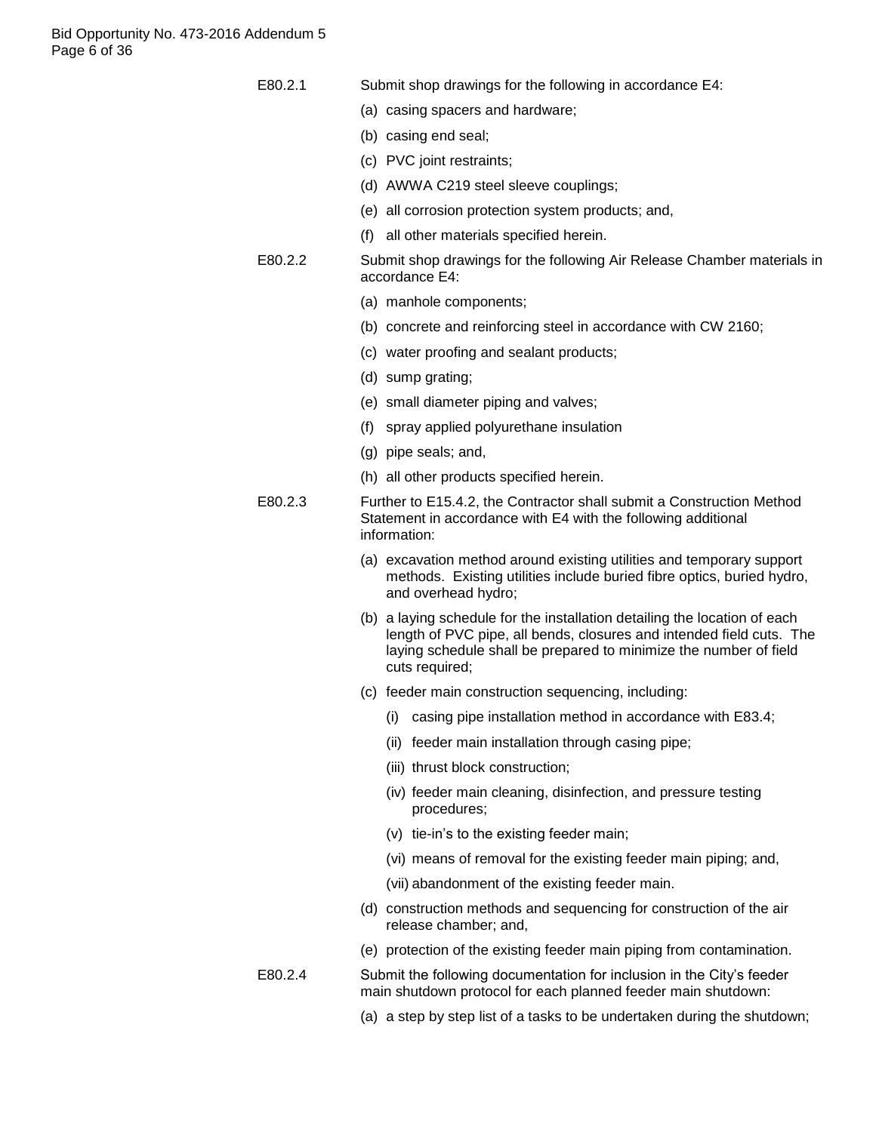Bid Opportunity No. 473-2016 Addendum 5 Page 6 of 36

| E80.2.1 | Submit shop drawings for the following in accordance E4: |  |  |  |  |  |
|---------|----------------------------------------------------------|--|--|--|--|--|
|---------|----------------------------------------------------------|--|--|--|--|--|

- (a) casing spacers and hardware;
- (b) casing end seal;
- (c) PVC joint restraints;
- (d) AWWA C219 steel sleeve couplings;
- (e) all corrosion protection system products; and,
- (f) all other materials specified herein.
- E80.2.2 Submit shop drawings for the following Air Release Chamber materials in accordance E4:
	- (a) manhole components;
	- (b) concrete and reinforcing steel in accordance with CW 2160;
	- (c) water proofing and sealant products;
	- (d) sump grating;
	- (e) small diameter piping and valves;
	- (f) spray applied polyurethane insulation
	- (g) pipe seals; and,
	- (h) all other products specified herein.
- E80.2.3 Further to E15.4.2, the Contractor shall submit a Construction Method Statement in accordance with E4 with the following additional information:
	- (a) excavation method around existing utilities and temporary support methods. Existing utilities include buried fibre optics, buried hydro, and overhead hydro;
	- (b) a laying schedule for the installation detailing the location of each length of PVC pipe, all bends, closures and intended field cuts. The laying schedule shall be prepared to minimize the number of field cuts required;
	- (c) feeder main construction sequencing, including:
		- (i) casing pipe installation method in accordance with E83.4;
		- (ii) feeder main installation through casing pipe;
		- (iii) thrust block construction;
		- (iv) feeder main cleaning, disinfection, and pressure testing procedures;
		- (v) tie-in"s to the existing feeder main;
		- (vi) means of removal for the existing feeder main piping; and,
		- (vii) abandonment of the existing feeder main.
	- (d) construction methods and sequencing for construction of the air release chamber; and,
	- (e) protection of the existing feeder main piping from contamination.
- E80.2.4 Submit the following documentation for inclusion in the City"s feeder main shutdown protocol for each planned feeder main shutdown:
	- (a) a step by step list of a tasks to be undertaken during the shutdown;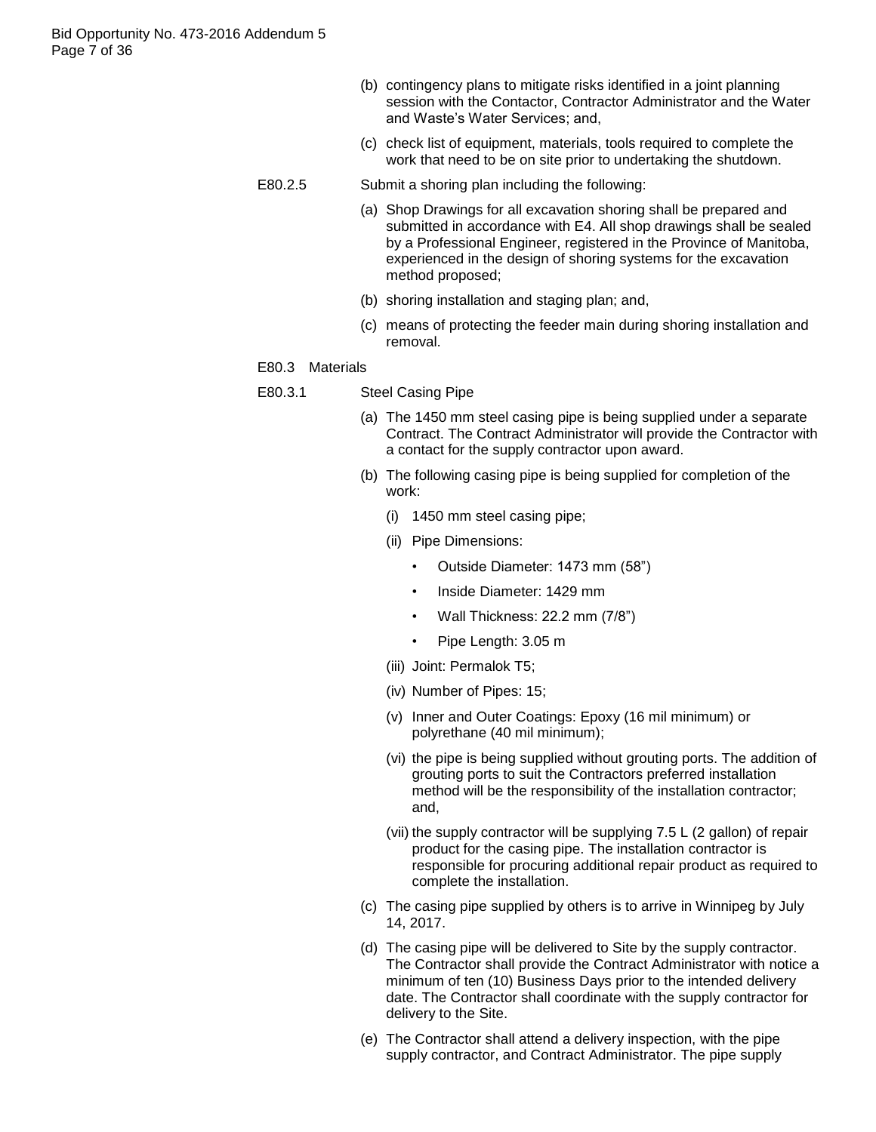- (b) contingency plans to mitigate risks identified in a joint planning session with the Contactor, Contractor Administrator and the Water and Waste"s Water Services; and,
- (c) check list of equipment, materials, tools required to complete the work that need to be on site prior to undertaking the shutdown.

#### E80.2.5 Submit a shoring plan including the following:

- (a) Shop Drawings for all excavation shoring shall be prepared and submitted in accordance with E4. All shop drawings shall be sealed by a Professional Engineer, registered in the Province of Manitoba, experienced in the design of shoring systems for the excavation method proposed;
- (b) shoring installation and staging plan; and,
- (c) means of protecting the feeder main during shoring installation and removal.

#### E80.3 Materials

- E80.3.1 Steel Casing Pipe
	- (a) The 1450 mm steel casing pipe is being supplied under a separate Contract. The Contract Administrator will provide the Contractor with a contact for the supply contractor upon award.
	- (b) The following casing pipe is being supplied for completion of the work:
		- (i) 1450 mm steel casing pipe;
		- (ii) Pipe Dimensions:
			- Outside Diameter: 1473 mm (58")
			- Inside Diameter: 1429 mm
			- Wall Thickness: 22.2 mm (7/8")
			- Pipe Length: 3.05 m
		- (iii) Joint: Permalok T5;
		- (iv) Number of Pipes: 15;
		- (v) Inner and Outer Coatings: Epoxy (16 mil minimum) or polyrethane (40 mil minimum);
		- (vi) the pipe is being supplied without grouting ports. The addition of grouting ports to suit the Contractors preferred installation method will be the responsibility of the installation contractor; and,
		- (vii) the supply contractor will be supplying 7.5 L (2 gallon) of repair product for the casing pipe. The installation contractor is responsible for procuring additional repair product as required to complete the installation.
	- (c) The casing pipe supplied by others is to arrive in Winnipeg by July 14, 2017.
	- (d) The casing pipe will be delivered to Site by the supply contractor. The Contractor shall provide the Contract Administrator with notice a minimum of ten (10) Business Days prior to the intended delivery date. The Contractor shall coordinate with the supply contractor for delivery to the Site.
	- (e) The Contractor shall attend a delivery inspection, with the pipe supply contractor, and Contract Administrator. The pipe supply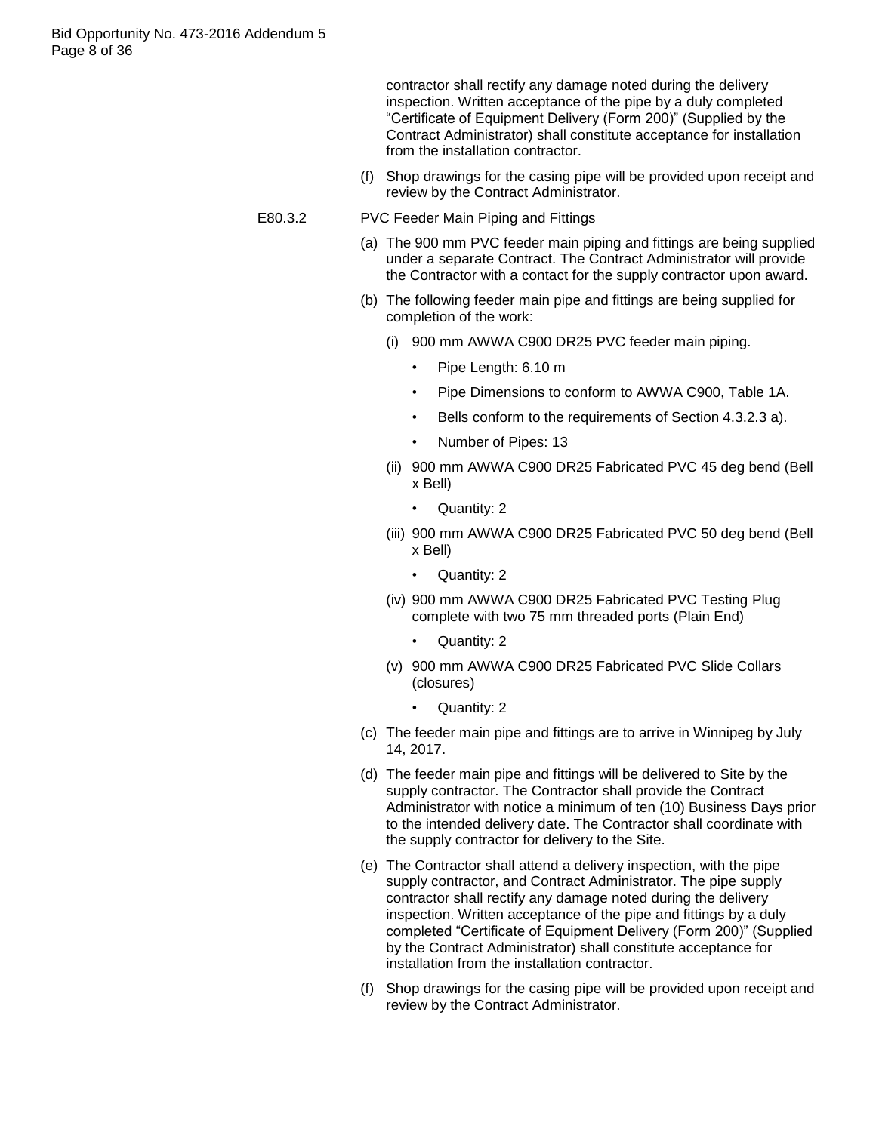contractor shall rectify any damage noted during the delivery inspection. Written acceptance of the pipe by a duly completed "Certificate of Equipment Delivery (Form 200)" (Supplied by the Contract Administrator) shall constitute acceptance for installation from the installation contractor.

- (f) Shop drawings for the casing pipe will be provided upon receipt and review by the Contract Administrator.
- E80.3.2 PVC Feeder Main Piping and Fittings
	- (a) The 900 mm PVC feeder main piping and fittings are being supplied under a separate Contract. The Contract Administrator will provide the Contractor with a contact for the supply contractor upon award.
	- (b) The following feeder main pipe and fittings are being supplied for completion of the work:
		- (i) 900 mm AWWA C900 DR25 PVC feeder main piping.
			- Pipe Length: 6.10 m
			- Pipe Dimensions to conform to AWWA C900, Table 1A.
			- Bells conform to the requirements of Section 4.3.2.3 a).
			- Number of Pipes: 13
		- (ii) 900 mm AWWA C900 DR25 Fabricated PVC 45 deg bend (Bell x Bell)
			- Quantity: 2
		- (iii) 900 mm AWWA C900 DR25 Fabricated PVC 50 deg bend (Bell x Bell)
			- Quantity: 2
		- (iv) 900 mm AWWA C900 DR25 Fabricated PVC Testing Plug complete with two 75 mm threaded ports (Plain End)
			- Quantity: 2
		- (v) 900 mm AWWA C900 DR25 Fabricated PVC Slide Collars (closures)
			- Quantity: 2
	- (c) The feeder main pipe and fittings are to arrive in Winnipeg by July 14, 2017.
	- (d) The feeder main pipe and fittings will be delivered to Site by the supply contractor. The Contractor shall provide the Contract Administrator with notice a minimum of ten (10) Business Days prior to the intended delivery date. The Contractor shall coordinate with the supply contractor for delivery to the Site.
	- (e) The Contractor shall attend a delivery inspection, with the pipe supply contractor, and Contract Administrator. The pipe supply contractor shall rectify any damage noted during the delivery inspection. Written acceptance of the pipe and fittings by a duly completed "Certificate of Equipment Delivery (Form 200)" (Supplied by the Contract Administrator) shall constitute acceptance for installation from the installation contractor.
	- (f) Shop drawings for the casing pipe will be provided upon receipt and review by the Contract Administrator.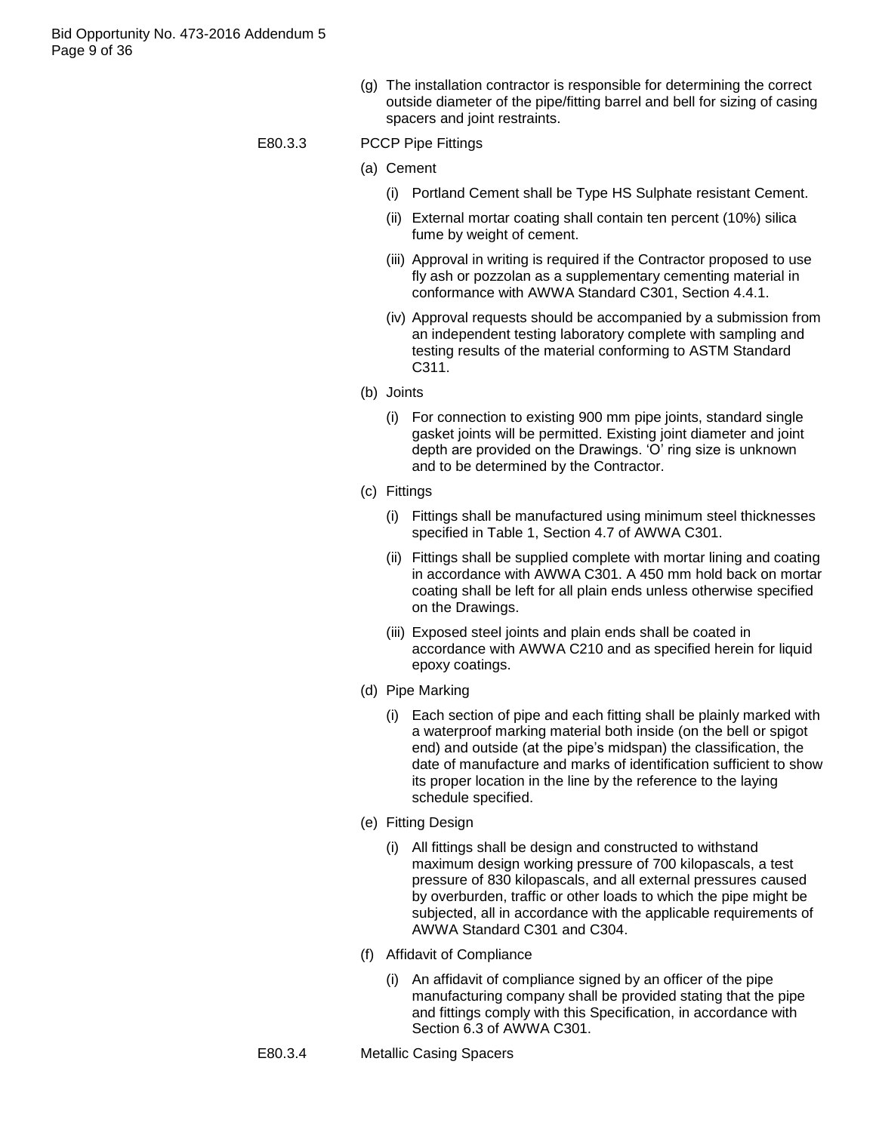(g) The installation contractor is responsible for determining the correct outside diameter of the pipe/fitting barrel and bell for sizing of casing spacers and joint restraints.

#### E80.3.3 PCCP Pipe Fittings

- (a) Cement
	- (i) Portland Cement shall be Type HS Sulphate resistant Cement.
	- (ii) External mortar coating shall contain ten percent (10%) silica fume by weight of cement.
	- (iii) Approval in writing is required if the Contractor proposed to use fly ash or pozzolan as a supplementary cementing material in conformance with AWWA Standard C301, Section 4.4.1.
	- (iv) Approval requests should be accompanied by a submission from an independent testing laboratory complete with sampling and testing results of the material conforming to ASTM Standard C311.
- (b) Joints
	- (i) For connection to existing 900 mm pipe joints, standard single gasket joints will be permitted. Existing joint diameter and joint depth are provided on the Drawings. "O" ring size is unknown and to be determined by the Contractor.
- (c) Fittings
	- (i) Fittings shall be manufactured using minimum steel thicknesses specified in Table 1, Section 4.7 of AWWA C301.
	- (ii) Fittings shall be supplied complete with mortar lining and coating in accordance with AWWA C301. A 450 mm hold back on mortar coating shall be left for all plain ends unless otherwise specified on the Drawings.
	- (iii) Exposed steel joints and plain ends shall be coated in accordance with AWWA C210 and as specified herein for liquid epoxy coatings.
- (d) Pipe Marking
	- (i) Each section of pipe and each fitting shall be plainly marked with a waterproof marking material both inside (on the bell or spigot end) and outside (at the pipe's midspan) the classification, the date of manufacture and marks of identification sufficient to show its proper location in the line by the reference to the laying schedule specified.
- (e) Fitting Design
	- (i) All fittings shall be design and constructed to withstand maximum design working pressure of 700 kilopascals, a test pressure of 830 kilopascals, and all external pressures caused by overburden, traffic or other loads to which the pipe might be subjected, all in accordance with the applicable requirements of AWWA Standard C301 and C304.
- (f) Affidavit of Compliance
	- (i) An affidavit of compliance signed by an officer of the pipe manufacturing company shall be provided stating that the pipe and fittings comply with this Specification, in accordance with Section 6.3 of AWWA C301.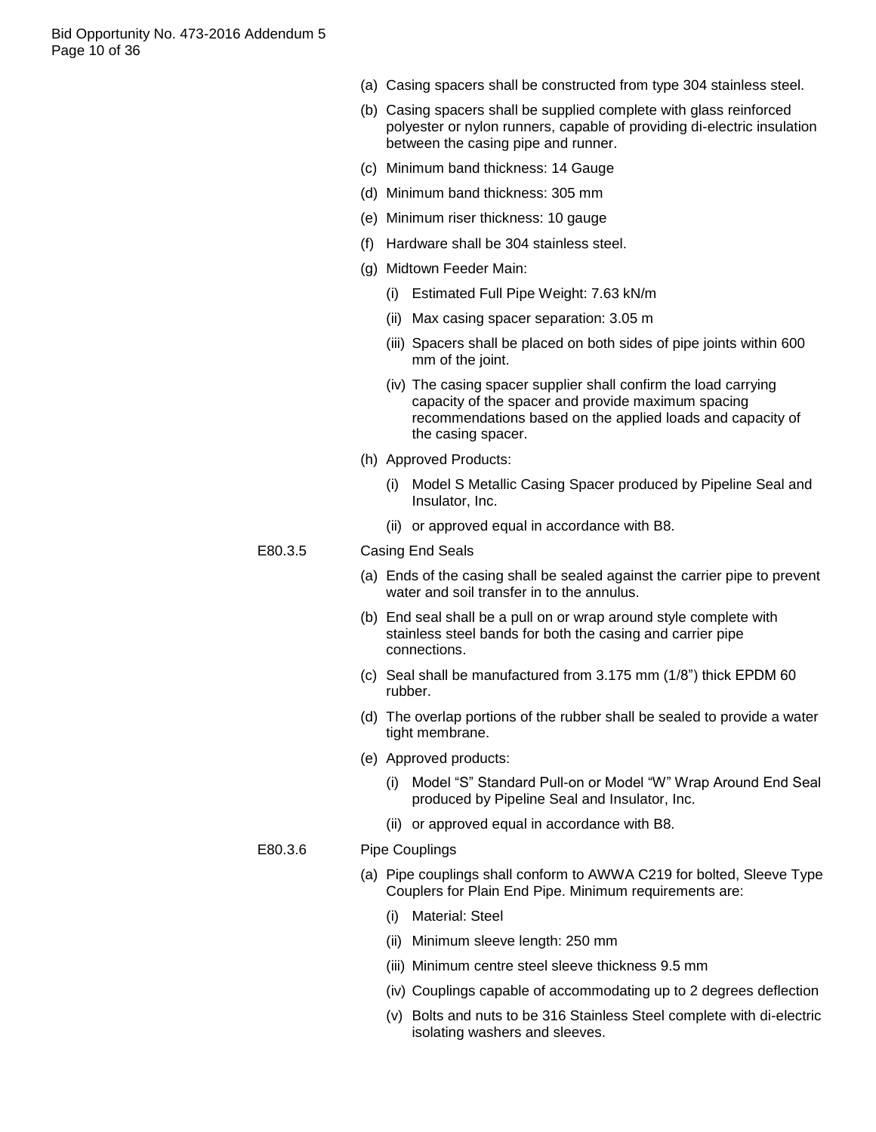Bid Opportunity No. 473-2016 Addendum 5 Page 10 of 36

- (a) Casing spacers shall be constructed from type 304 stainless steel.
- (b) Casing spacers shall be supplied complete with glass reinforced polyester or nylon runners, capable of providing di-electric insulation between the casing pipe and runner.
- (c) Minimum band thickness: 14 Gauge
- (d) Minimum band thickness: 305 mm
- (e) Minimum riser thickness: 10 gauge
- (f) Hardware shall be 304 stainless steel.
- (g) Midtown Feeder Main:
	- (i) Estimated Full Pipe Weight: 7.63 kN/m
	- (ii) Max casing spacer separation: 3.05 m
	- (iii) Spacers shall be placed on both sides of pipe joints within 600 mm of the joint.
	- (iv) The casing spacer supplier shall confirm the load carrying capacity of the spacer and provide maximum spacing recommendations based on the applied loads and capacity of the casing spacer.
- (h) Approved Products:
	- (i) Model S Metallic Casing Spacer produced by Pipeline Seal and Insulator, Inc.
	- (ii) or approved equal in accordance with B8.

#### E80.3.5 Casing End Seals

- (a) Ends of the casing shall be sealed against the carrier pipe to prevent water and soil transfer in to the annulus.
- (b) End seal shall be a pull on or wrap around style complete with stainless steel bands for both the casing and carrier pipe connections.
- (c) Seal shall be manufactured from 3.175 mm (1/8") thick EPDM 60 rubber.
- (d) The overlap portions of the rubber shall be sealed to provide a water tight membrane.
- (e) Approved products:
	- (i) Model "S" Standard Pull-on or Model "W" Wrap Around End Seal produced by Pipeline Seal and Insulator, Inc.
	- (ii) or approved equal in accordance with B8.

#### E80.3.6 Pipe Couplings

- (a) Pipe couplings shall conform to AWWA C219 for bolted, Sleeve Type Couplers for Plain End Pipe. Minimum requirements are:
	- (i) Material: Steel
	- (ii) Minimum sleeve length: 250 mm
	- (iii) Minimum centre steel sleeve thickness 9.5 mm
	- (iv) Couplings capable of accommodating up to 2 degrees deflection
	- (v) Bolts and nuts to be 316 Stainless Steel complete with di-electric isolating washers and sleeves.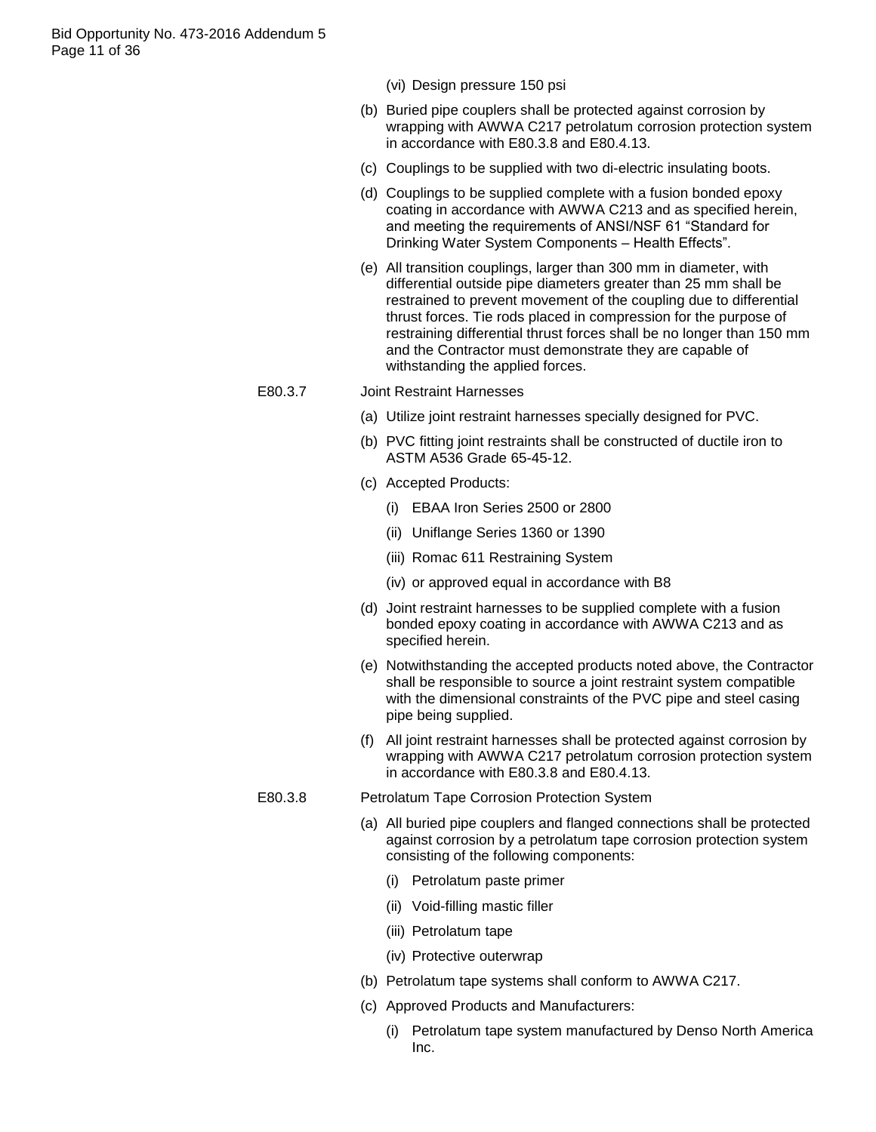- (vi) Design pressure 150 psi
- (b) Buried pipe couplers shall be protected against corrosion by wrapping with AWWA C217 petrolatum corrosion protection system in accordance with E80.3.8 and E80.4.13.
- (c) Couplings to be supplied with two di-electric insulating boots.
- (d) Couplings to be supplied complete with a fusion bonded epoxy coating in accordance with AWWA C213 and as specified herein, and meeting the requirements of ANSI/NSF 61 "Standard for Drinking Water System Components – Health Effects".
- (e) All transition couplings, larger than 300 mm in diameter, with differential outside pipe diameters greater than 25 mm shall be restrained to prevent movement of the coupling due to differential thrust forces. Tie rods placed in compression for the purpose of restraining differential thrust forces shall be no longer than 150 mm and the Contractor must demonstrate they are capable of withstanding the applied forces.

#### E80.3.7 Joint Restraint Harnesses

- (a) Utilize joint restraint harnesses specially designed for PVC.
- (b) PVC fitting joint restraints shall be constructed of ductile iron to ASTM A536 Grade 65-45-12.
- (c) Accepted Products:
	- (i) EBAA Iron Series 2500 or 2800
	- (ii) Uniflange Series 1360 or 1390
	- (iii) Romac 611 Restraining System
	- (iv) or approved equal in accordance with B8
- (d) Joint restraint harnesses to be supplied complete with a fusion bonded epoxy coating in accordance with AWWA C213 and as specified herein.
- (e) Notwithstanding the accepted products noted above, the Contractor shall be responsible to source a joint restraint system compatible with the dimensional constraints of the PVC pipe and steel casing pipe being supplied.
- (f) All joint restraint harnesses shall be protected against corrosion by wrapping with AWWA C217 petrolatum corrosion protection system in accordance with E80.3.8 and E80.4.13.
- E80.3.8 Petrolatum Tape Corrosion Protection System
	- (a) All buried pipe couplers and flanged connections shall be protected against corrosion by a petrolatum tape corrosion protection system consisting of the following components:
		- (i) Petrolatum paste primer
		- (ii) Void-filling mastic filler
		- (iii) Petrolatum tape
		- (iv) Protective outerwrap
	- (b) Petrolatum tape systems shall conform to AWWA C217.
	- (c) Approved Products and Manufacturers:
		- (i) Petrolatum tape system manufactured by Denso North America Inc.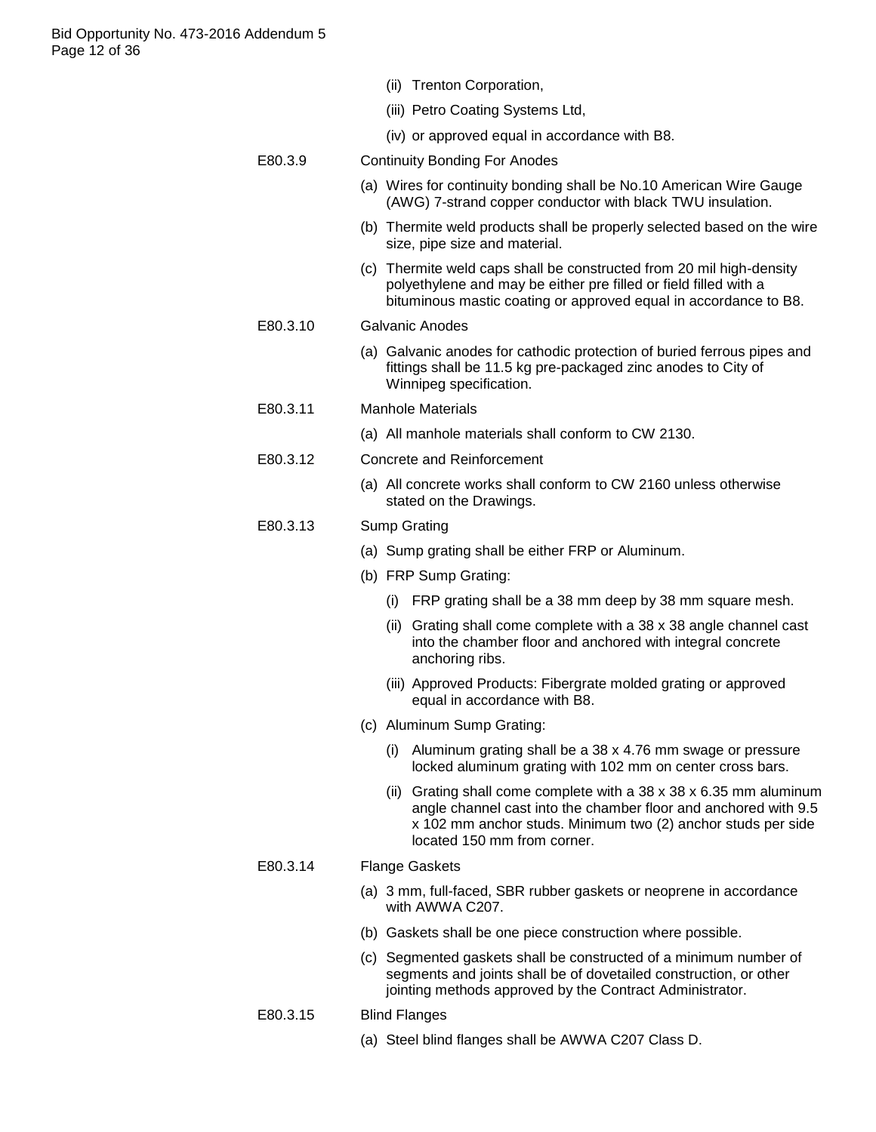|  | (ii) Trenton Corporation, |
|--|---------------------------|
|  |                           |

- (iii) Petro Coating Systems Ltd,
- (iv) or approved equal in accordance with B8.
- E80.3.9 Continuity Bonding For Anodes
	- (a) Wires for continuity bonding shall be No.10 American Wire Gauge (AWG) 7-strand copper conductor with black TWU insulation.
	- (b) Thermite weld products shall be properly selected based on the wire size, pipe size and material.
	- (c) Thermite weld caps shall be constructed from 20 mil high-density polyethylene and may be either pre filled or field filled with a bituminous mastic coating or approved equal in accordance to B8.
- E80.3.10 Galvanic Anodes
	- (a) Galvanic anodes for cathodic protection of buried ferrous pipes and fittings shall be 11.5 kg pre-packaged zinc anodes to City of Winnipeg specification.
- E80.3.11 Manhole Materials
	- (a) All manhole materials shall conform to CW 2130.
- E80.3.12 Concrete and Reinforcement
	- (a) All concrete works shall conform to CW 2160 unless otherwise stated on the Drawings.

# E80.3.13 Sump Grating

- (a) Sump grating shall be either FRP or Aluminum.
- (b) FRP Sump Grating:
	- (i) FRP grating shall be a 38 mm deep by 38 mm square mesh.
	- (ii) Grating shall come complete with a 38 x 38 angle channel cast into the chamber floor and anchored with integral concrete anchoring ribs.
	- (iii) Approved Products: Fibergrate molded grating or approved equal in accordance with B8.
- (c) Aluminum Sump Grating:
	- (i) Aluminum grating shall be a 38 x 4.76 mm swage or pressure locked aluminum grating with 102 mm on center cross bars.
	- (ii) Grating shall come complete with a  $38 \times 38 \times 6.35$  mm aluminum angle channel cast into the chamber floor and anchored with 9.5 x 102 mm anchor studs. Minimum two (2) anchor studs per side located 150 mm from corner.

# E80.3.14 Flange Gaskets

- (a) 3 mm, full-faced, SBR rubber gaskets or neoprene in accordance with AWWA C207.
- (b) Gaskets shall be one piece construction where possible.
- (c) Segmented gaskets shall be constructed of a minimum number of segments and joints shall be of dovetailed construction, or other jointing methods approved by the Contract Administrator.
- E80.3.15 Blind Flanges
	- (a) Steel blind flanges shall be AWWA C207 Class D.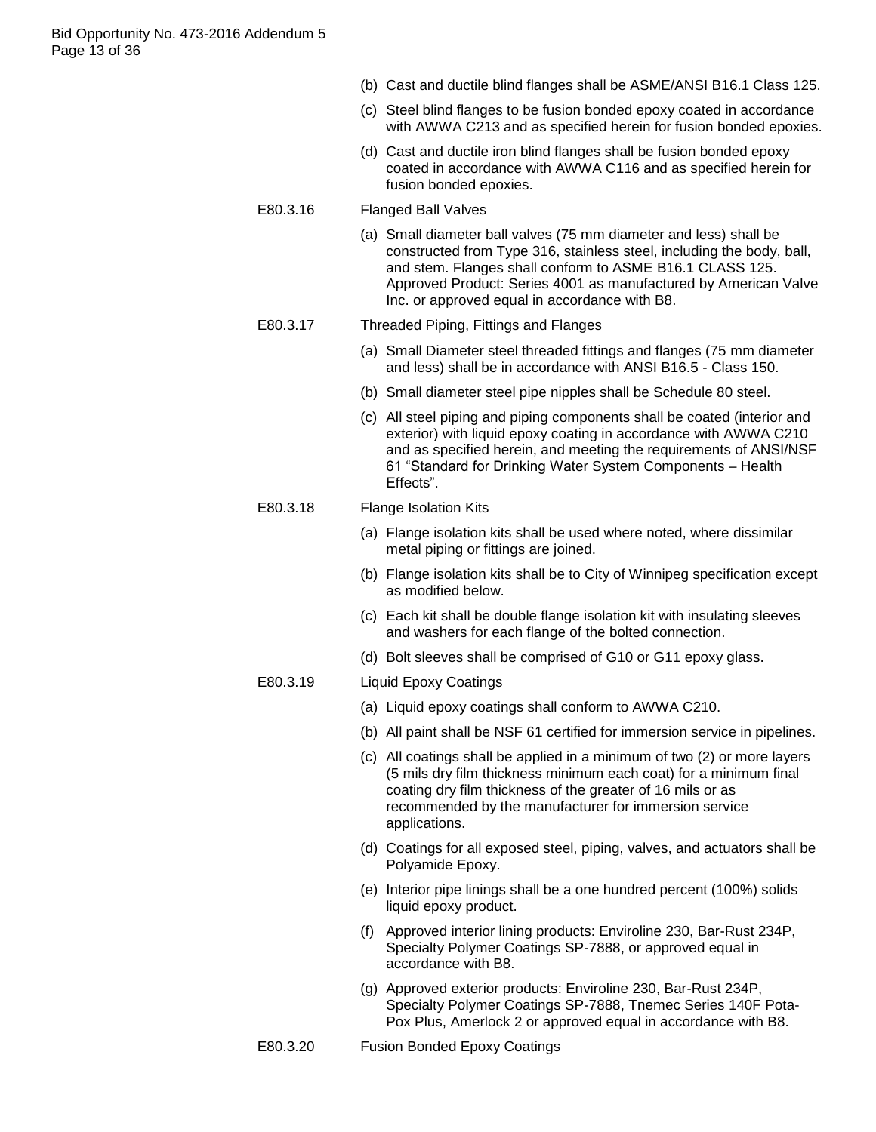- (b) Cast and ductile blind flanges shall be ASME/ANSI B16.1 Class 125.
- (c) Steel blind flanges to be fusion bonded epoxy coated in accordance with AWWA C213 and as specified herein for fusion bonded epoxies.
- (d) Cast and ductile iron blind flanges shall be fusion bonded epoxy coated in accordance with AWWA C116 and as specified herein for fusion bonded epoxies.
- E80.3.16 Flanged Ball Valves
	- (a) Small diameter ball valves (75 mm diameter and less) shall be constructed from Type 316, stainless steel, including the body, ball, and stem. Flanges shall conform to ASME B16.1 CLASS 125. Approved Product: Series 4001 as manufactured by American Valve Inc. or approved equal in accordance with B8.

#### E80.3.17 Threaded Piping, Fittings and Flanges

- (a) Small Diameter steel threaded fittings and flanges (75 mm diameter and less) shall be in accordance with ANSI B16.5 - Class 150.
- (b) Small diameter steel pipe nipples shall be Schedule 80 steel.
- (c) All steel piping and piping components shall be coated (interior and exterior) with liquid epoxy coating in accordance with AWWA C210 and as specified herein, and meeting the requirements of ANSI/NSF 61 "Standard for Drinking Water System Components – Health Effects".

# E80.3.18 Flange Isolation Kits

- (a) Flange isolation kits shall be used where noted, where dissimilar metal piping or fittings are joined.
- (b) Flange isolation kits shall be to City of Winnipeg specification except as modified below.
- (c) Each kit shall be double flange isolation kit with insulating sleeves and washers for each flange of the bolted connection.
- (d) Bolt sleeves shall be comprised of G10 or G11 epoxy glass.
- E80.3.19 Liquid Epoxy Coatings
	- (a) Liquid epoxy coatings shall conform to AWWA C210.
	- (b) All paint shall be NSF 61 certified for immersion service in pipelines.
	- (c) All coatings shall be applied in a minimum of two (2) or more layers (5 mils dry film thickness minimum each coat) for a minimum final coating dry film thickness of the greater of 16 mils or as recommended by the manufacturer for immersion service applications.
	- (d) Coatings for all exposed steel, piping, valves, and actuators shall be Polyamide Epoxy.
	- (e) Interior pipe linings shall be a one hundred percent (100%) solids liquid epoxy product.
	- (f) Approved interior lining products: Enviroline 230, Bar-Rust 234P, Specialty Polymer Coatings SP-7888, or approved equal in accordance with B8.
	- (g) Approved exterior products: Enviroline 230, Bar-Rust 234P, Specialty Polymer Coatings SP-7888, Tnemec Series 140F Pota-Pox Plus, Amerlock 2 or approved equal in accordance with B8.
- E80.3.20 Fusion Bonded Epoxy Coatings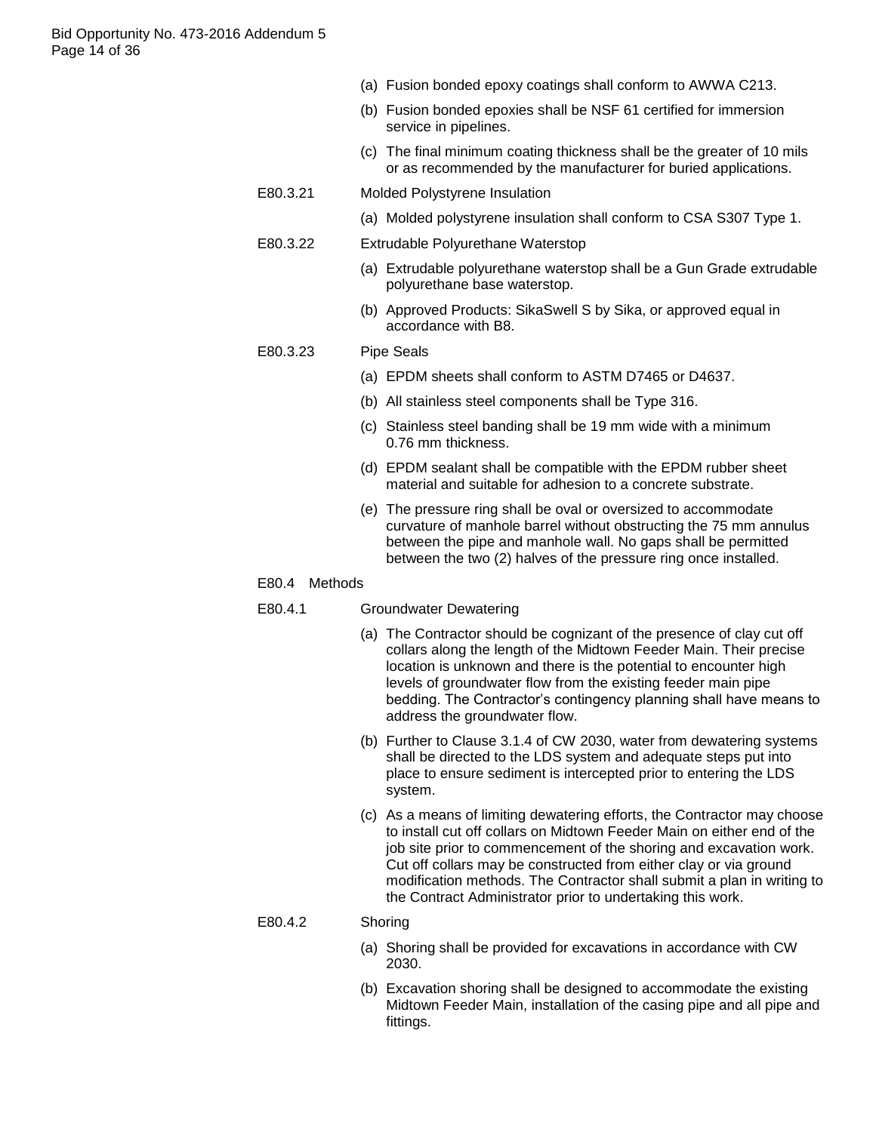- (a) Fusion bonded epoxy coatings shall conform to AWWA C213.
- (b) Fusion bonded epoxies shall be NSF 61 certified for immersion service in pipelines.
- (c) The final minimum coating thickness shall be the greater of 10 mils or as recommended by the manufacturer for buried applications.
- E80.3.21 Molded Polystyrene Insulation
	- (a) Molded polystyrene insulation shall conform to CSA S307 Type 1.
- E80.3.22 Extrudable Polyurethane Waterstop
	- (a) Extrudable polyurethane waterstop shall be a Gun Grade extrudable polyurethane base waterstop.
	- (b) Approved Products: SikaSwell S by Sika, or approved equal in accordance with B8.

#### E80.3.23 Pipe Seals

- (a) EPDM sheets shall conform to ASTM D7465 or D4637.
- (b) All stainless steel components shall be Type 316.
- (c) Stainless steel banding shall be 19 mm wide with a minimum 0.76 mm thickness.
- (d) EPDM sealant shall be compatible with the EPDM rubber sheet material and suitable for adhesion to a concrete substrate.
- (e) The pressure ring shall be oval or oversized to accommodate curvature of manhole barrel without obstructing the 75 mm annulus between the pipe and manhole wall. No gaps shall be permitted between the two (2) halves of the pressure ring once installed.

#### E80.4 Methods

## E80.4.1 Groundwater Dewatering

- (a) The Contractor should be cognizant of the presence of clay cut off collars along the length of the Midtown Feeder Main. Their precise location is unknown and there is the potential to encounter high levels of groundwater flow from the existing feeder main pipe bedding. The Contractor"s contingency planning shall have means to address the groundwater flow.
- (b) Further to Clause 3.1.4 of CW 2030, water from dewatering systems shall be directed to the LDS system and adequate steps put into place to ensure sediment is intercepted prior to entering the LDS system.
- (c) As a means of limiting dewatering efforts, the Contractor may choose to install cut off collars on Midtown Feeder Main on either end of the job site prior to commencement of the shoring and excavation work. Cut off collars may be constructed from either clay or via ground modification methods. The Contractor shall submit a plan in writing to the Contract Administrator prior to undertaking this work.

#### E80.4.2 Shoring

- (a) Shoring shall be provided for excavations in accordance with CW 2030.
- (b) Excavation shoring shall be designed to accommodate the existing Midtown Feeder Main, installation of the casing pipe and all pipe and fittings.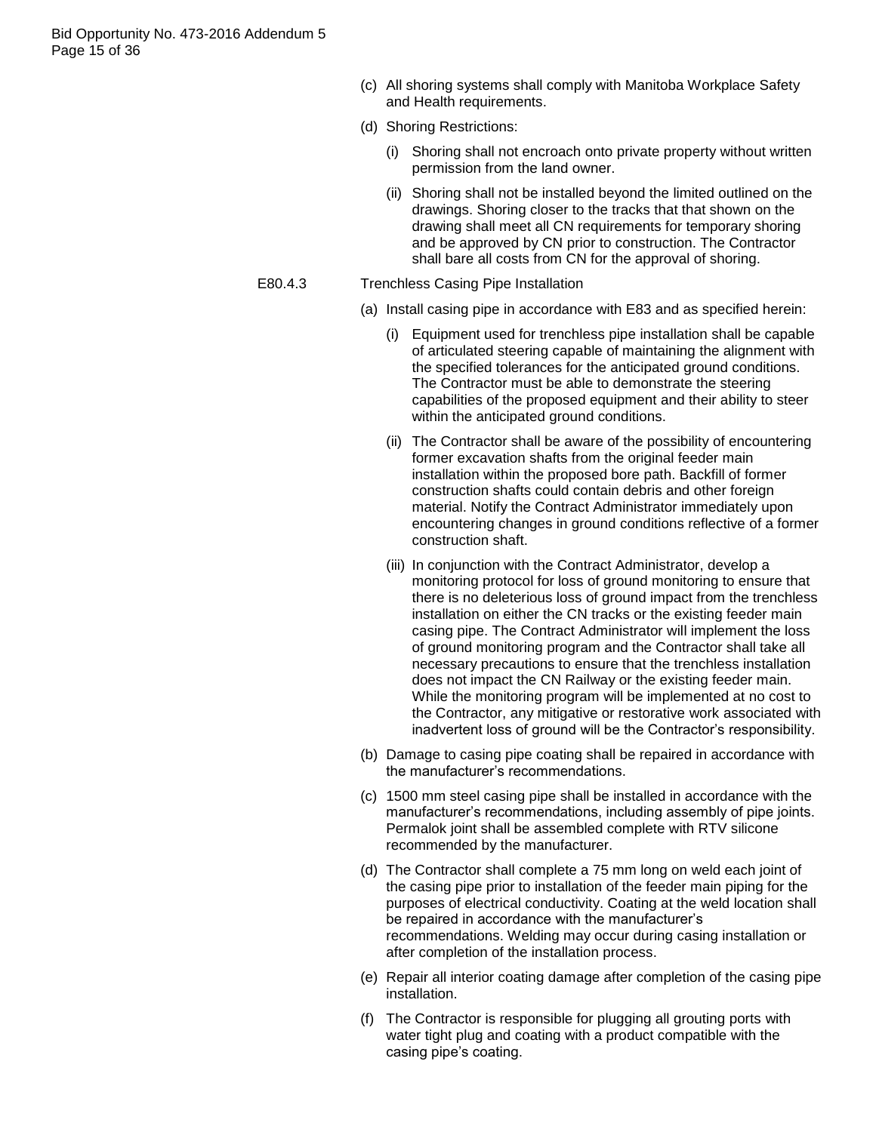Bid Opportunity No. 473-2016 Addendum 5 Page 15 of 36

- (c) All shoring systems shall comply with Manitoba Workplace Safety and Health requirements.
- (d) Shoring Restrictions:
	- (i) Shoring shall not encroach onto private property without written permission from the land owner.
	- (ii) Shoring shall not be installed beyond the limited outlined on the drawings. Shoring closer to the tracks that that shown on the drawing shall meet all CN requirements for temporary shoring and be approved by CN prior to construction. The Contractor shall bare all costs from CN for the approval of shoring.
- E80.4.3 Trenchless Casing Pipe Installation
	- (a) Install casing pipe in accordance with E83 and as specified herein:
		- (i) Equipment used for trenchless pipe installation shall be capable of articulated steering capable of maintaining the alignment with the specified tolerances for the anticipated ground conditions. The Contractor must be able to demonstrate the steering capabilities of the proposed equipment and their ability to steer within the anticipated ground conditions.
		- (ii) The Contractor shall be aware of the possibility of encountering former excavation shafts from the original feeder main installation within the proposed bore path. Backfill of former construction shafts could contain debris and other foreign material. Notify the Contract Administrator immediately upon encountering changes in ground conditions reflective of a former construction shaft.
		- (iii) In conjunction with the Contract Administrator, develop a monitoring protocol for loss of ground monitoring to ensure that there is no deleterious loss of ground impact from the trenchless installation on either the CN tracks or the existing feeder main casing pipe. The Contract Administrator will implement the loss of ground monitoring program and the Contractor shall take all necessary precautions to ensure that the trenchless installation does not impact the CN Railway or the existing feeder main. While the monitoring program will be implemented at no cost to the Contractor, any mitigative or restorative work associated with inadvertent loss of ground will be the Contractor's responsibility.
	- (b) Damage to casing pipe coating shall be repaired in accordance with the manufacturer"s recommendations.
	- (c) 1500 mm steel casing pipe shall be installed in accordance with the manufacturer"s recommendations, including assembly of pipe joints. Permalok joint shall be assembled complete with RTV silicone recommended by the manufacturer.
	- (d) The Contractor shall complete a 75 mm long on weld each joint of the casing pipe prior to installation of the feeder main piping for the purposes of electrical conductivity. Coating at the weld location shall be repaired in accordance with the manufacturer's recommendations. Welding may occur during casing installation or after completion of the installation process.
	- (e) Repair all interior coating damage after completion of the casing pipe installation.
	- (f) The Contractor is responsible for plugging all grouting ports with water tight plug and coating with a product compatible with the casing pipe"s coating.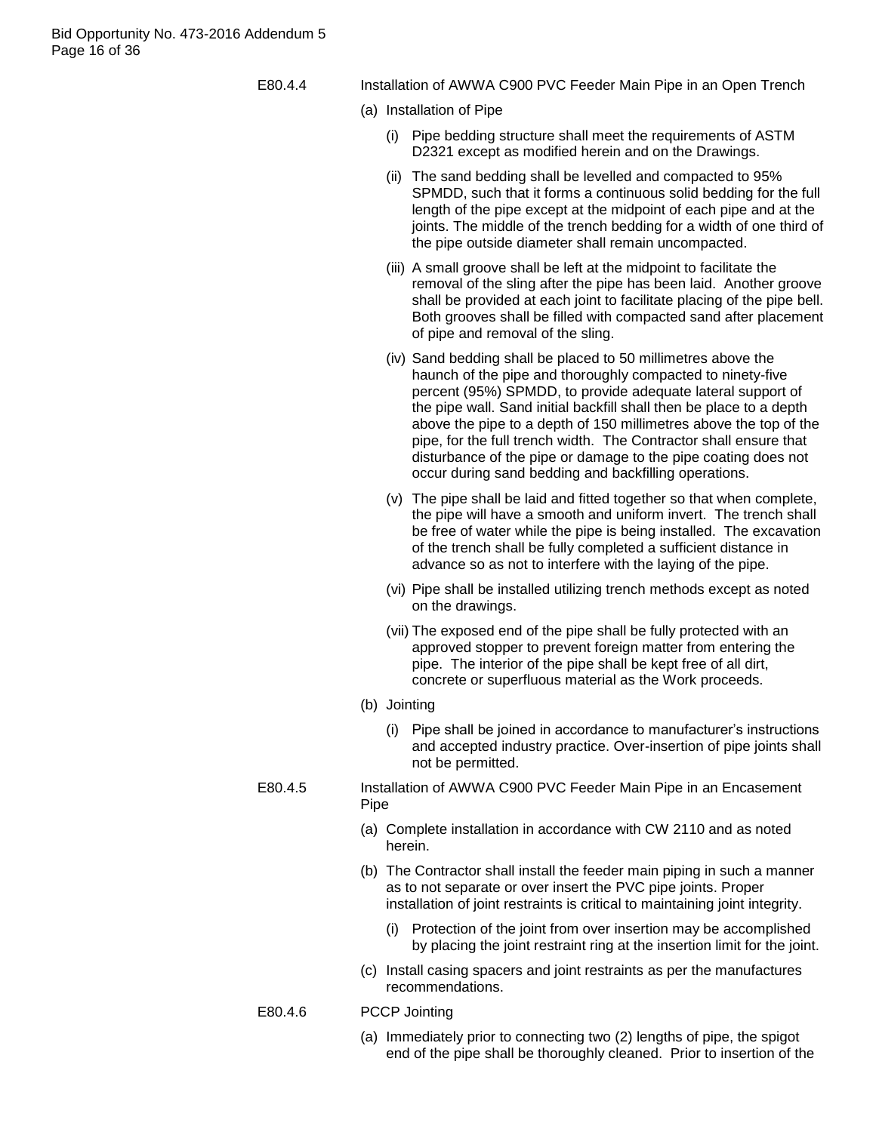Bid Opportunity No. 473-2016 Addendum 5 Page 16 of 36

E80.4.4 Installation of AWWA C900 PVC Feeder Main Pipe in an Open Trench

- (a) Installation of Pipe
	- (i) Pipe bedding structure shall meet the requirements of ASTM D2321 except as modified herein and on the Drawings.
	- (ii) The sand bedding shall be levelled and compacted to 95% SPMDD, such that it forms a continuous solid bedding for the full length of the pipe except at the midpoint of each pipe and at the joints. The middle of the trench bedding for a width of one third of the pipe outside diameter shall remain uncompacted.
	- (iii) A small groove shall be left at the midpoint to facilitate the removal of the sling after the pipe has been laid. Another groove shall be provided at each joint to facilitate placing of the pipe bell. Both grooves shall be filled with compacted sand after placement of pipe and removal of the sling.
	- (iv) Sand bedding shall be placed to 50 millimetres above the haunch of the pipe and thoroughly compacted to ninety-five percent (95%) SPMDD, to provide adequate lateral support of the pipe wall. Sand initial backfill shall then be place to a depth above the pipe to a depth of 150 millimetres above the top of the pipe, for the full trench width. The Contractor shall ensure that disturbance of the pipe or damage to the pipe coating does not occur during sand bedding and backfilling operations.
	- (v) The pipe shall be laid and fitted together so that when complete, the pipe will have a smooth and uniform invert. The trench shall be free of water while the pipe is being installed. The excavation of the trench shall be fully completed a sufficient distance in advance so as not to interfere with the laying of the pipe.
	- (vi) Pipe shall be installed utilizing trench methods except as noted on the drawings.
	- (vii) The exposed end of the pipe shall be fully protected with an approved stopper to prevent foreign matter from entering the pipe. The interior of the pipe shall be kept free of all dirt, concrete or superfluous material as the Work proceeds.
- (b) Jointing
	- (i) Pipe shall be joined in accordance to manufacturer"s instructions and accepted industry practice. Over-insertion of pipe joints shall not be permitted.
- E80.4.5 Installation of AWWA C900 PVC Feeder Main Pipe in an Encasement Pipe
	- (a) Complete installation in accordance with CW 2110 and as noted herein.
	- (b) The Contractor shall install the feeder main piping in such a manner as to not separate or over insert the PVC pipe joints. Proper installation of joint restraints is critical to maintaining joint integrity.
		- (i) Protection of the joint from over insertion may be accomplished by placing the joint restraint ring at the insertion limit for the joint.
	- (c) Install casing spacers and joint restraints as per the manufactures recommendations.
	- E80.4.6 PCCP Jointing
		- (a) Immediately prior to connecting two (2) lengths of pipe, the spigot end of the pipe shall be thoroughly cleaned. Prior to insertion of the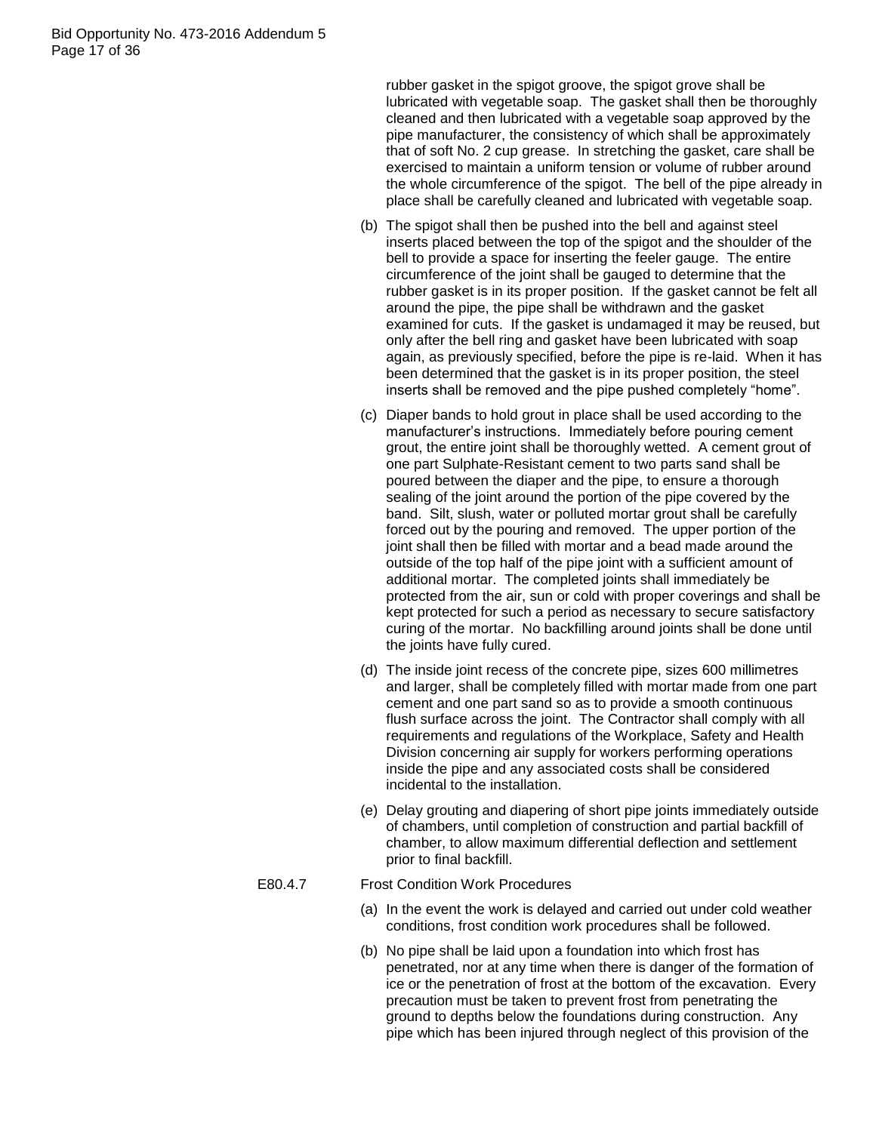rubber gasket in the spigot groove, the spigot grove shall be lubricated with vegetable soap. The gasket shall then be thoroughly cleaned and then lubricated with a vegetable soap approved by the pipe manufacturer, the consistency of which shall be approximately that of soft No. 2 cup grease. In stretching the gasket, care shall be exercised to maintain a uniform tension or volume of rubber around the whole circumference of the spigot. The bell of the pipe already in place shall be carefully cleaned and lubricated with vegetable soap.

- (b) The spigot shall then be pushed into the bell and against steel inserts placed between the top of the spigot and the shoulder of the bell to provide a space for inserting the feeler gauge. The entire circumference of the joint shall be gauged to determine that the rubber gasket is in its proper position. If the gasket cannot be felt all around the pipe, the pipe shall be withdrawn and the gasket examined for cuts. If the gasket is undamaged it may be reused, but only after the bell ring and gasket have been lubricated with soap again, as previously specified, before the pipe is re-laid. When it has been determined that the gasket is in its proper position, the steel inserts shall be removed and the pipe pushed completely "home".
- (c) Diaper bands to hold grout in place shall be used according to the manufacturer"s instructions. Immediately before pouring cement grout, the entire joint shall be thoroughly wetted. A cement grout of one part Sulphate-Resistant cement to two parts sand shall be poured between the diaper and the pipe, to ensure a thorough sealing of the joint around the portion of the pipe covered by the band. Silt, slush, water or polluted mortar grout shall be carefully forced out by the pouring and removed. The upper portion of the joint shall then be filled with mortar and a bead made around the outside of the top half of the pipe joint with a sufficient amount of additional mortar. The completed joints shall immediately be protected from the air, sun or cold with proper coverings and shall be kept protected for such a period as necessary to secure satisfactory curing of the mortar. No backfilling around joints shall be done until the joints have fully cured.
- (d) The inside joint recess of the concrete pipe, sizes 600 millimetres and larger, shall be completely filled with mortar made from one part cement and one part sand so as to provide a smooth continuous flush surface across the joint. The Contractor shall comply with all requirements and regulations of the Workplace, Safety and Health Division concerning air supply for workers performing operations inside the pipe and any associated costs shall be considered incidental to the installation.
- (e) Delay grouting and diapering of short pipe joints immediately outside of chambers, until completion of construction and partial backfill of chamber, to allow maximum differential deflection and settlement prior to final backfill.

## E80.4.7 Frost Condition Work Procedures

- (a) In the event the work is delayed and carried out under cold weather conditions, frost condition work procedures shall be followed.
- (b) No pipe shall be laid upon a foundation into which frost has penetrated, nor at any time when there is danger of the formation of ice or the penetration of frost at the bottom of the excavation. Every precaution must be taken to prevent frost from penetrating the ground to depths below the foundations during construction. Any pipe which has been injured through neglect of this provision of the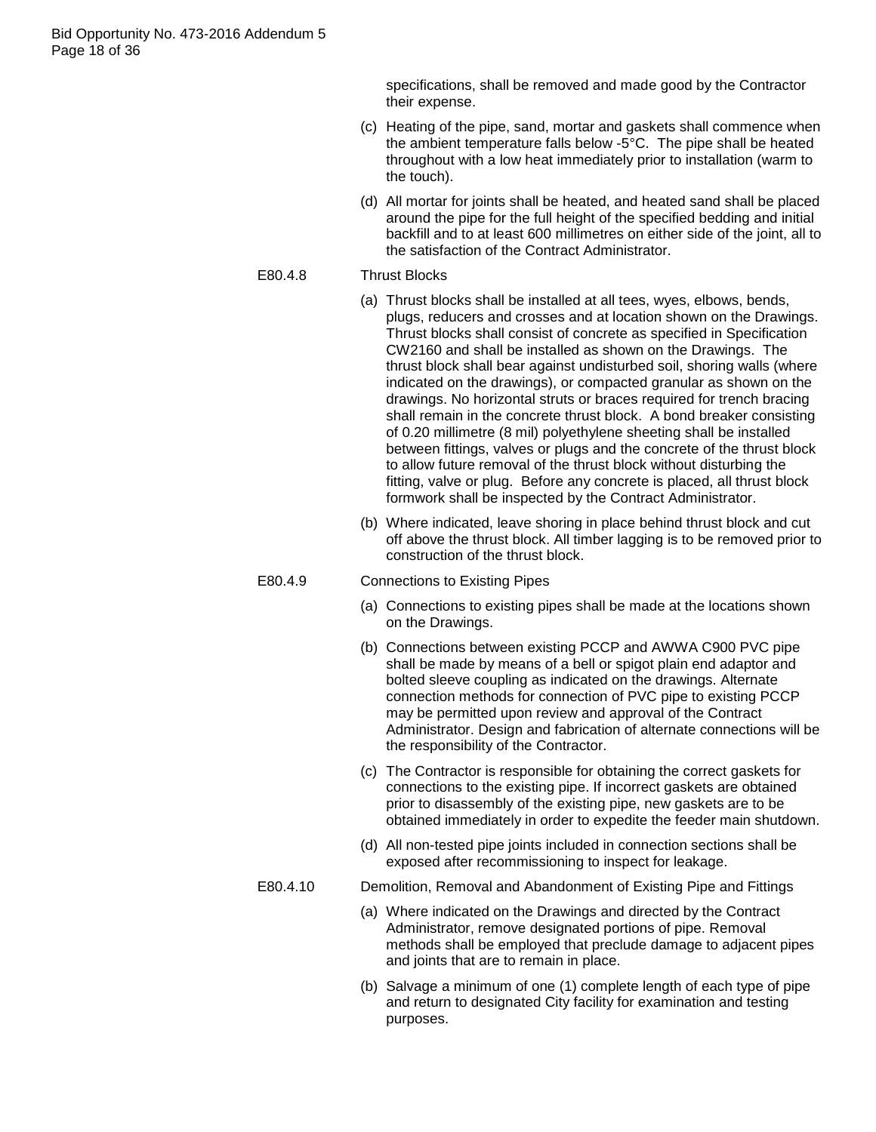specifications, shall be removed and made good by the Contractor their expense.

- (c) Heating of the pipe, sand, mortar and gaskets shall commence when the ambient temperature falls below -5°C. The pipe shall be heated throughout with a low heat immediately prior to installation (warm to the touch).
- (d) All mortar for joints shall be heated, and heated sand shall be placed around the pipe for the full height of the specified bedding and initial backfill and to at least 600 millimetres on either side of the joint, all to the satisfaction of the Contract Administrator.

## E80.4.8 Thrust Blocks

- (a) Thrust blocks shall be installed at all tees, wyes, elbows, bends, plugs, reducers and crosses and at location shown on the Drawings. Thrust blocks shall consist of concrete as specified in Specification CW2160 and shall be installed as shown on the Drawings. The thrust block shall bear against undisturbed soil, shoring walls (where indicated on the drawings), or compacted granular as shown on the drawings. No horizontal struts or braces required for trench bracing shall remain in the concrete thrust block. A bond breaker consisting of 0.20 millimetre (8 mil) polyethylene sheeting shall be installed between fittings, valves or plugs and the concrete of the thrust block to allow future removal of the thrust block without disturbing the fitting, valve or plug. Before any concrete is placed, all thrust block formwork shall be inspected by the Contract Administrator.
	- (b) Where indicated, leave shoring in place behind thrust block and cut off above the thrust block. All timber lagging is to be removed prior to construction of the thrust block.

## E80.4.9 Connections to Existing Pipes

- (a) Connections to existing pipes shall be made at the locations shown on the Drawings.
- (b) Connections between existing PCCP and AWWA C900 PVC pipe shall be made by means of a bell or spigot plain end adaptor and bolted sleeve coupling as indicated on the drawings. Alternate connection methods for connection of PVC pipe to existing PCCP may be permitted upon review and approval of the Contract Administrator. Design and fabrication of alternate connections will be the responsibility of the Contractor.
- (c) The Contractor is responsible for obtaining the correct gaskets for connections to the existing pipe. If incorrect gaskets are obtained prior to disassembly of the existing pipe, new gaskets are to be obtained immediately in order to expedite the feeder main shutdown.
- (d) All non-tested pipe joints included in connection sections shall be exposed after recommissioning to inspect for leakage.

#### E80.4.10 Demolition, Removal and Abandonment of Existing Pipe and Fittings

- (a) Where indicated on the Drawings and directed by the Contract Administrator, remove designated portions of pipe. Removal methods shall be employed that preclude damage to adjacent pipes and joints that are to remain in place.
- (b) Salvage a minimum of one (1) complete length of each type of pipe and return to designated City facility for examination and testing purposes.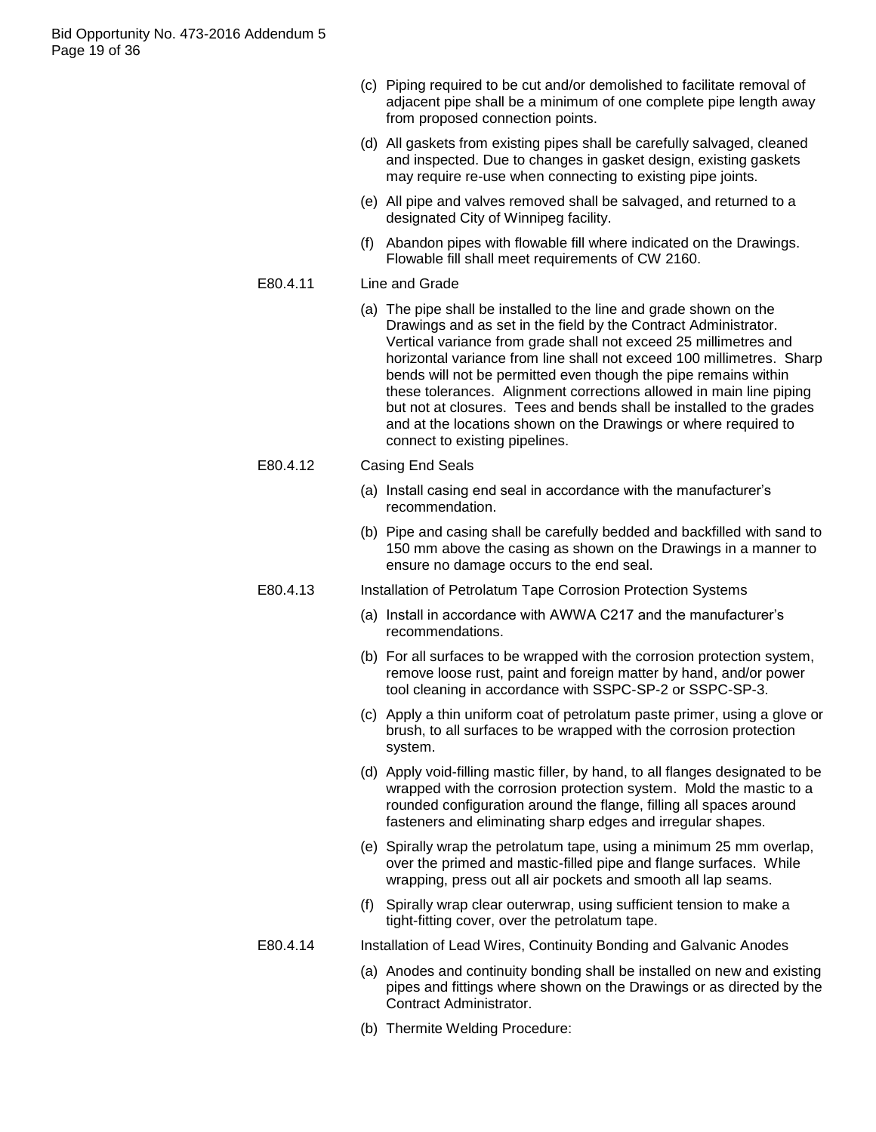- (c) Piping required to be cut and/or demolished to facilitate removal of adjacent pipe shall be a minimum of one complete pipe length away from proposed connection points.
- (d) All gaskets from existing pipes shall be carefully salvaged, cleaned and inspected. Due to changes in gasket design, existing gaskets may require re-use when connecting to existing pipe joints.
- (e) All pipe and valves removed shall be salvaged, and returned to a designated City of Winnipeg facility.
- (f) Abandon pipes with flowable fill where indicated on the Drawings. Flowable fill shall meet requirements of CW 2160.

## E80.4.11 Line and Grade

- (a) The pipe shall be installed to the line and grade shown on the Drawings and as set in the field by the Contract Administrator. Vertical variance from grade shall not exceed 25 millimetres and horizontal variance from line shall not exceed 100 millimetres. Sharp bends will not be permitted even though the pipe remains within these tolerances. Alignment corrections allowed in main line piping but not at closures. Tees and bends shall be installed to the grades and at the locations shown on the Drawings or where required to connect to existing pipelines.
- E80.4.12 Casing End Seals
	- (a) Install casing end seal in accordance with the manufacturer"s recommendation.
	- (b) Pipe and casing shall be carefully bedded and backfilled with sand to 150 mm above the casing as shown on the Drawings in a manner to ensure no damage occurs to the end seal.
- E80.4.13 Installation of Petrolatum Tape Corrosion Protection Systems
	- (a) Install in accordance with AWWA C217 and the manufacturer"s recommendations.
	- (b) For all surfaces to be wrapped with the corrosion protection system, remove loose rust, paint and foreign matter by hand, and/or power tool cleaning in accordance with SSPC-SP-2 or SSPC-SP-3.
	- (c) Apply a thin uniform coat of petrolatum paste primer, using a glove or brush, to all surfaces to be wrapped with the corrosion protection system.
	- (d) Apply void-filling mastic filler, by hand, to all flanges designated to be wrapped with the corrosion protection system. Mold the mastic to a rounded configuration around the flange, filling all spaces around fasteners and eliminating sharp edges and irregular shapes.
	- (e) Spirally wrap the petrolatum tape, using a minimum 25 mm overlap, over the primed and mastic-filled pipe and flange surfaces. While wrapping, press out all air pockets and smooth all lap seams.
	- (f) Spirally wrap clear outerwrap, using sufficient tension to make a tight-fitting cover, over the petrolatum tape.

#### E80.4.14 Installation of Lead Wires, Continuity Bonding and Galvanic Anodes

- (a) Anodes and continuity bonding shall be installed on new and existing pipes and fittings where shown on the Drawings or as directed by the Contract Administrator.
- (b) Thermite Welding Procedure: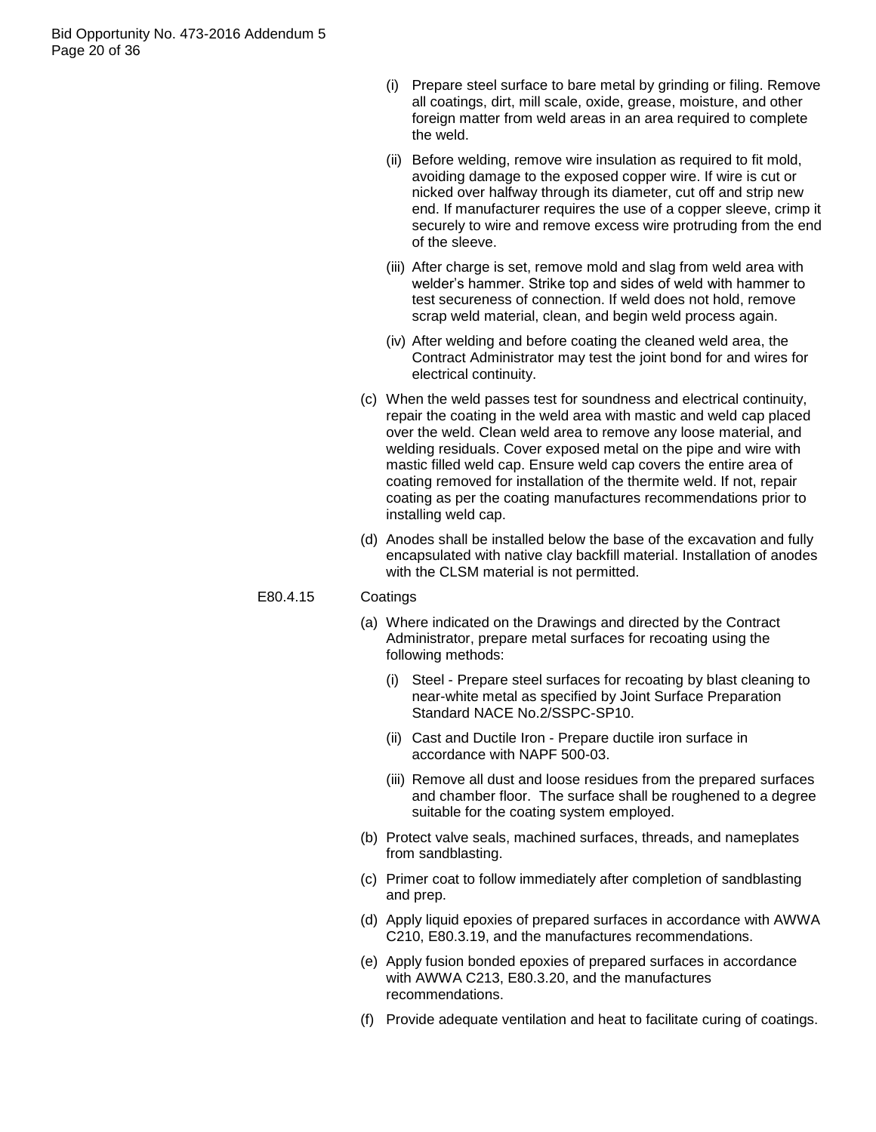- (i) Prepare steel surface to bare metal by grinding or filing. Remove all coatings, dirt, mill scale, oxide, grease, moisture, and other foreign matter from weld areas in an area required to complete the weld.
- (ii) Before welding, remove wire insulation as required to fit mold, avoiding damage to the exposed copper wire. If wire is cut or nicked over halfway through its diameter, cut off and strip new end. If manufacturer requires the use of a copper sleeve, crimp it securely to wire and remove excess wire protruding from the end of the sleeve.
- (iii) After charge is set, remove mold and slag from weld area with welder"s hammer. Strike top and sides of weld with hammer to test secureness of connection. If weld does not hold, remove scrap weld material, clean, and begin weld process again.
- (iv) After welding and before coating the cleaned weld area, the Contract Administrator may test the joint bond for and wires for electrical continuity.
- (c) When the weld passes test for soundness and electrical continuity, repair the coating in the weld area with mastic and weld cap placed over the weld. Clean weld area to remove any loose material, and welding residuals. Cover exposed metal on the pipe and wire with mastic filled weld cap. Ensure weld cap covers the entire area of coating removed for installation of the thermite weld. If not, repair coating as per the coating manufactures recommendations prior to installing weld cap.
- (d) Anodes shall be installed below the base of the excavation and fully encapsulated with native clay backfill material. Installation of anodes with the CLSM material is not permitted.

# E80.4.15 Coatings

- (a) Where indicated on the Drawings and directed by the Contract Administrator, prepare metal surfaces for recoating using the following methods:
	- (i) Steel Prepare steel surfaces for recoating by blast cleaning to near-white metal as specified by Joint Surface Preparation Standard NACE No.2/SSPC-SP10.
	- (ii) Cast and Ductile Iron Prepare ductile iron surface in accordance with NAPF 500-03.
	- (iii) Remove all dust and loose residues from the prepared surfaces and chamber floor. The surface shall be roughened to a degree suitable for the coating system employed.
- (b) Protect valve seals, machined surfaces, threads, and nameplates from sandblasting.
- (c) Primer coat to follow immediately after completion of sandblasting and prep.
- (d) Apply liquid epoxies of prepared surfaces in accordance with AWWA C210, E80.3.19, and the manufactures recommendations.
- (e) Apply fusion bonded epoxies of prepared surfaces in accordance with AWWA C213, E80.3.20, and the manufactures recommendations.
- (f) Provide adequate ventilation and heat to facilitate curing of coatings.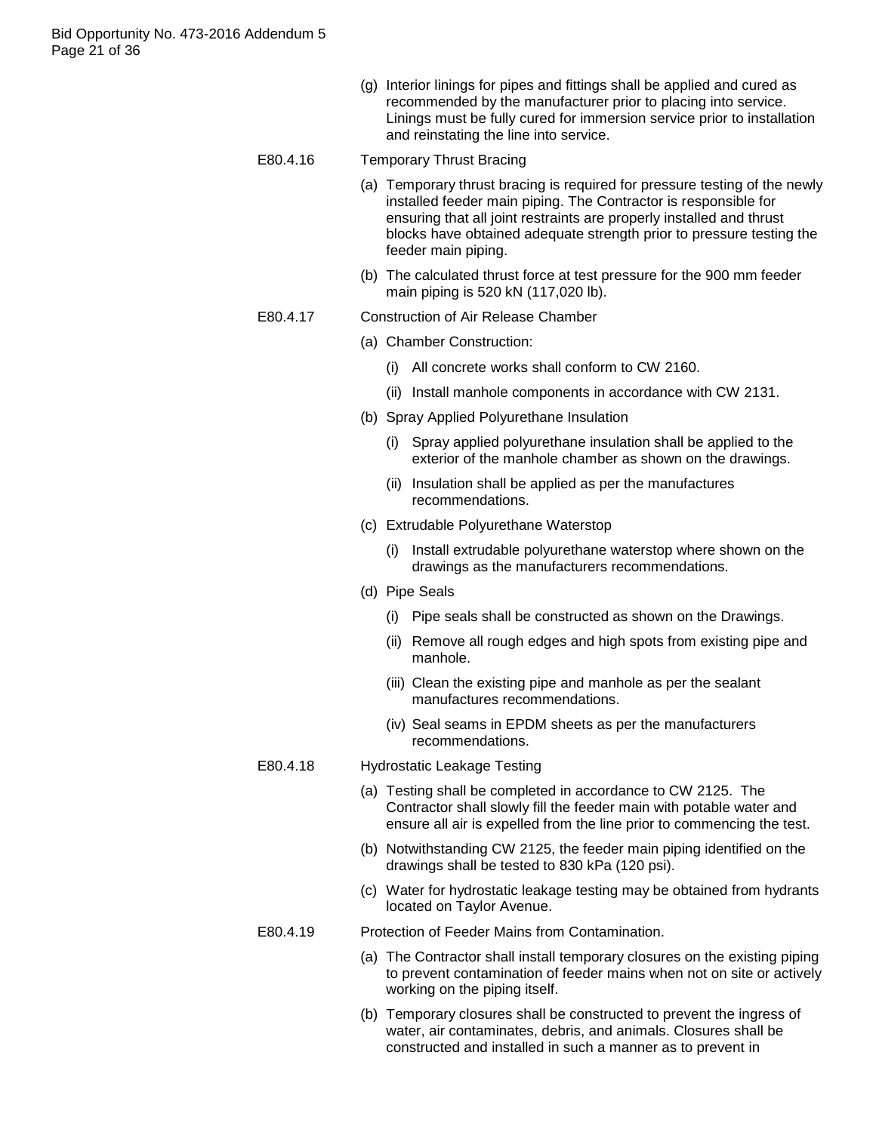(g) Interior linings for pipes and fittings shall be applied and cured as recommended by the manufacturer prior to placing into service. Linings must be fully cured for immersion service prior to installation and reinstating the line into service.

# E80.4.16 Temporary Thrust Bracing

- (a) Temporary thrust bracing is required for pressure testing of the newly installed feeder main piping. The Contractor is responsible for ensuring that all joint restraints are properly installed and thrust blocks have obtained adequate strength prior to pressure testing the feeder main piping.
- (b) The calculated thrust force at test pressure for the 900 mm feeder main piping is 520 kN (117,020 lb).

#### E80.4.17 Construction of Air Release Chamber

- (a) Chamber Construction:
	- (i) All concrete works shall conform to CW 2160.
	- (ii) Install manhole components in accordance with CW 2131.
- (b) Spray Applied Polyurethane Insulation
	- (i) Spray applied polyurethane insulation shall be applied to the exterior of the manhole chamber as shown on the drawings.
	- (ii) Insulation shall be applied as per the manufactures recommendations.
- (c) Extrudable Polyurethane Waterstop
	- (i) Install extrudable polyurethane waterstop where shown on the drawings as the manufacturers recommendations.
- (d) Pipe Seals
	- (i) Pipe seals shall be constructed as shown on the Drawings.
	- (ii) Remove all rough edges and high spots from existing pipe and manhole.
	- (iii) Clean the existing pipe and manhole as per the sealant manufactures recommendations.
	- (iv) Seal seams in EPDM sheets as per the manufacturers recommendations.

## E80.4.18 Hydrostatic Leakage Testing

- (a) Testing shall be completed in accordance to CW 2125. The Contractor shall slowly fill the feeder main with potable water and ensure all air is expelled from the line prior to commencing the test.
- (b) Notwithstanding CW 2125, the feeder main piping identified on the drawings shall be tested to 830 kPa (120 psi).
- (c) Water for hydrostatic leakage testing may be obtained from hydrants located on Taylor Avenue.

#### E80.4.19 Protection of Feeder Mains from Contamination.

- (a) The Contractor shall install temporary closures on the existing piping to prevent contamination of feeder mains when not on site or actively working on the piping itself.
- (b) Temporary closures shall be constructed to prevent the ingress of water, air contaminates, debris, and animals. Closures shall be constructed and installed in such a manner as to prevent in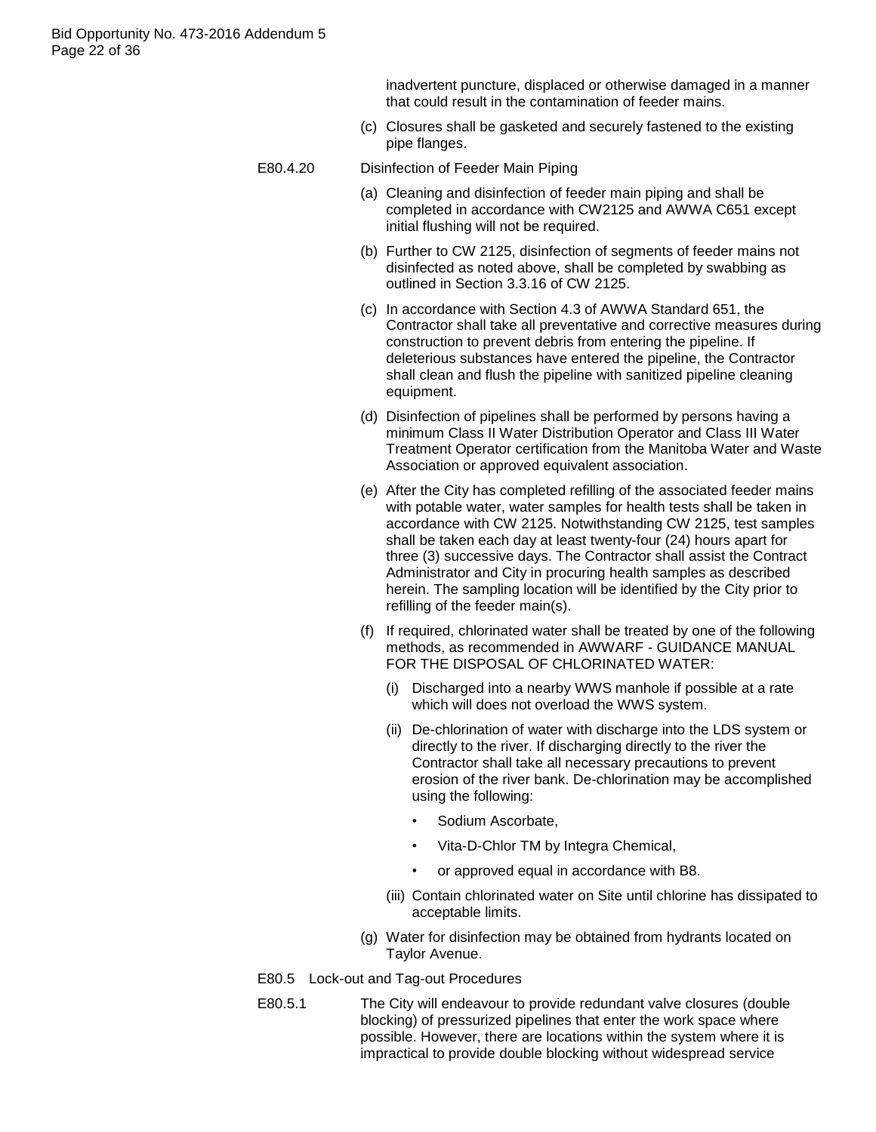inadvertent puncture, displaced or otherwise damaged in a manner that could result in the contamination of feeder mains.

- (c) Closures shall be gasketed and securely fastened to the existing pipe flanges.
- E80.4.20 Disinfection of Feeder Main Piping
	- (a) Cleaning and disinfection of feeder main piping and shall be completed in accordance with CW2125 and AWWA C651 except initial flushing will not be required.
	- (b) Further to CW 2125, disinfection of segments of feeder mains not disinfected as noted above, shall be completed by swabbing as outlined in Section 3.3.16 of CW 2125.
	- (c) In accordance with Section 4.3 of AWWA Standard 651, the Contractor shall take all preventative and corrective measures during construction to prevent debris from entering the pipeline. If deleterious substances have entered the pipeline, the Contractor shall clean and flush the pipeline with sanitized pipeline cleaning equipment.
	- (d) Disinfection of pipelines shall be performed by persons having a minimum Class II Water Distribution Operator and Class III Water Treatment Operator certification from the Manitoba Water and Waste Association or approved equivalent association.
	- (e) After the City has completed refilling of the associated feeder mains with potable water, water samples for health tests shall be taken in accordance with CW 2125. Notwithstanding CW 2125, test samples shall be taken each day at least twenty-four (24) hours apart for three (3) successive days. The Contractor shall assist the Contract Administrator and City in procuring health samples as described herein. The sampling location will be identified by the City prior to refilling of the feeder main(s).
	- (f) If required, chlorinated water shall be treated by one of the following methods, as recommended in AWWARF - GUIDANCE MANUAL FOR THE DISPOSAL OF CHLORINATED WATER:
		- (i) Discharged into a nearby WWS manhole if possible at a rate which will does not overload the WWS system.
		- (ii) De-chlorination of water with discharge into the LDS system or directly to the river. If discharging directly to the river the Contractor shall take all necessary precautions to prevent erosion of the river bank. De-chlorination may be accomplished using the following:
			- Sodium Ascorbate.
			- Vita-D-Chlor TM by Integra Chemical,
			- or approved equal in accordance with B8.
		- (iii) Contain chlorinated water on Site until chlorine has dissipated to acceptable limits.
	- (g) Water for disinfection may be obtained from hydrants located on Taylor Avenue.
- E80.5 Lock-out and Tag-out Procedures
- E80.5.1 The City will endeavour to provide redundant valve closures (double blocking) of pressurized pipelines that enter the work space where possible. However, there are locations within the system where it is impractical to provide double blocking without widespread service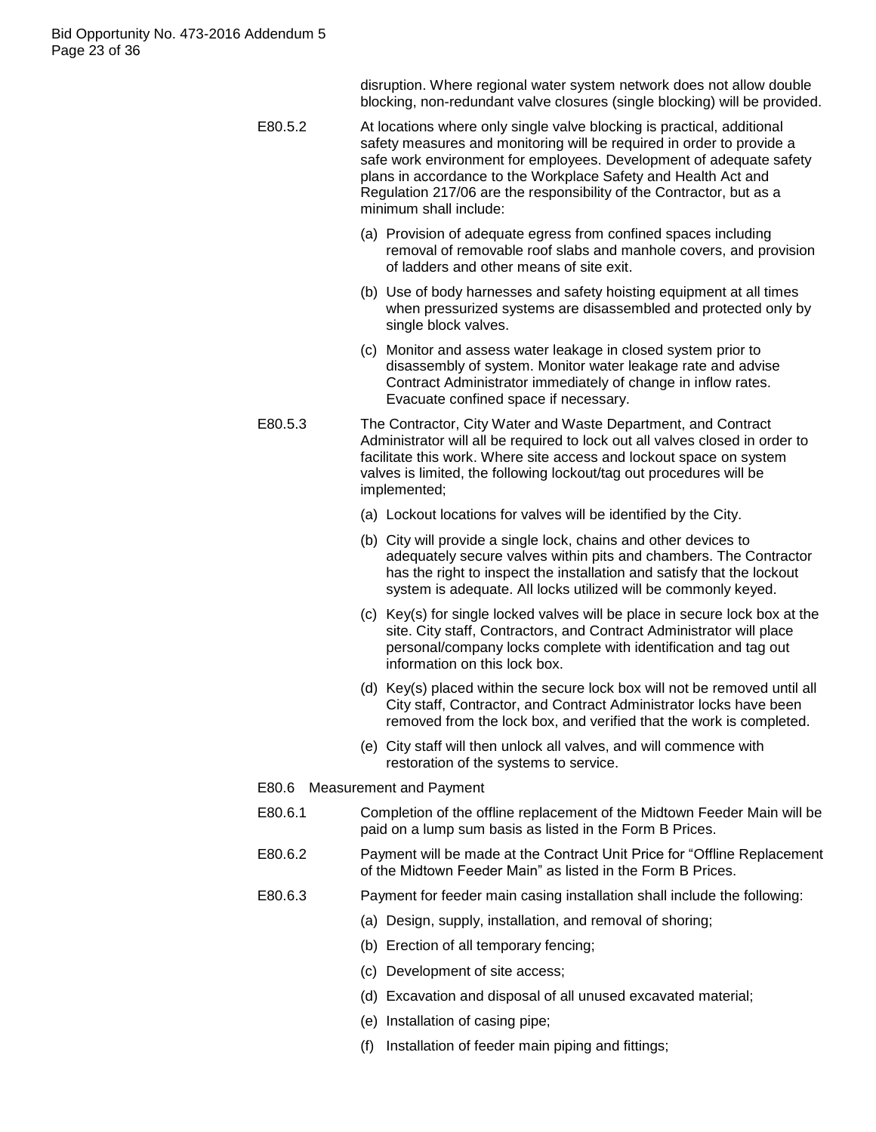disruption. Where regional water system network does not allow double blocking, non-redundant valve closures (single blocking) will be provided.

- E80.5.2 At locations where only single valve blocking is practical, additional safety measures and monitoring will be required in order to provide a safe work environment for employees. Development of adequate safety plans in accordance to the Workplace Safety and Health Act and Regulation 217/06 are the responsibility of the Contractor, but as a minimum shall include:
	- (a) Provision of adequate egress from confined spaces including removal of removable roof slabs and manhole covers, and provision of ladders and other means of site exit.
	- (b) Use of body harnesses and safety hoisting equipment at all times when pressurized systems are disassembled and protected only by single block valves.
	- (c) Monitor and assess water leakage in closed system prior to disassembly of system. Monitor water leakage rate and advise Contract Administrator immediately of change in inflow rates. Evacuate confined space if necessary.
- E80.5.3 The Contractor, City Water and Waste Department, and Contract Administrator will all be required to lock out all valves closed in order to facilitate this work. Where site access and lockout space on system valves is limited, the following lockout/tag out procedures will be implemented;
	- (a) Lockout locations for valves will be identified by the City.
	- (b) City will provide a single lock, chains and other devices to adequately secure valves within pits and chambers. The Contractor has the right to inspect the installation and satisfy that the lockout system is adequate. All locks utilized will be commonly keyed.
	- (c) Key(s) for single locked valves will be place in secure lock box at the site. City staff, Contractors, and Contract Administrator will place personal/company locks complete with identification and tag out information on this lock box.
	- (d) Key(s) placed within the secure lock box will not be removed until all City staff, Contractor, and Contract Administrator locks have been removed from the lock box, and verified that the work is completed.
	- (e) City staff will then unlock all valves, and will commence with restoration of the systems to service.
	- E80.6 Measurement and Payment
	- E80.6.1 Completion of the offline replacement of the Midtown Feeder Main will be paid on a lump sum basis as listed in the Form B Prices.
	- E80.6.2 Payment will be made at the Contract Unit Price for "Offline Replacement of the Midtown Feeder Main" as listed in the Form B Prices.
	- E80.6.3 Payment for feeder main casing installation shall include the following:
		- (a) Design, supply, installation, and removal of shoring;
		- (b) Erection of all temporary fencing;
		- (c) Development of site access;
		- (d) Excavation and disposal of all unused excavated material;
		- (e) Installation of casing pipe;
		- (f) Installation of feeder main piping and fittings;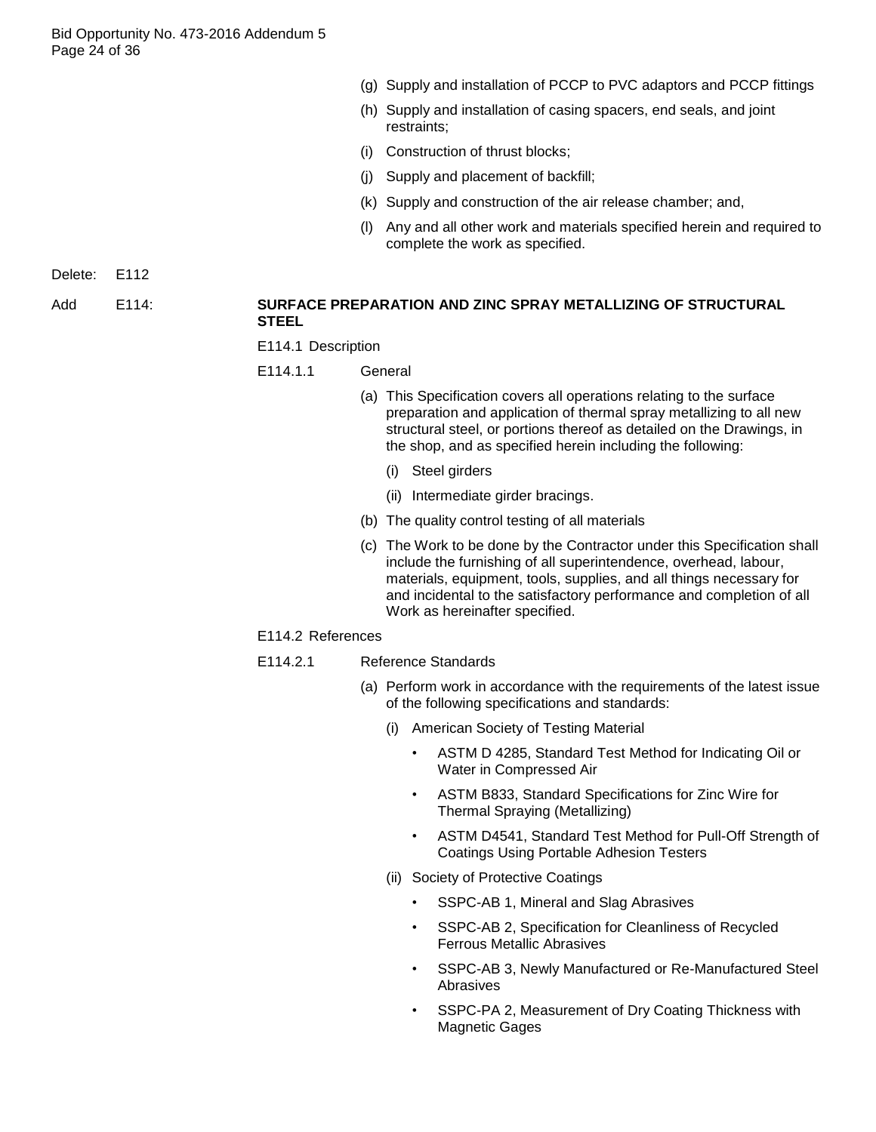- (g) Supply and installation of PCCP to PVC adaptors and PCCP fittings
- (h) Supply and installation of casing spacers, end seals, and joint restraints;
- (i) Construction of thrust blocks;
- (j) Supply and placement of backfill;
- (k) Supply and construction of the air release chamber; and,
- (l) Any and all other work and materials specified herein and required to complete the work as specified.

Delete: E112

#### Add E114: **SURFACE PREPARATION AND ZINC SPRAY METALLIZING OF STRUCTURAL STEEL**

- E114.1 Description
- E114.1.1 General
	- (a) This Specification covers all operations relating to the surface preparation and application of thermal spray metallizing to all new structural steel, or portions thereof as detailed on the Drawings, in the shop, and as specified herein including the following:
		- (i) Steel girders
		- (ii) Intermediate girder bracings.
	- (b) The quality control testing of all materials
	- (c) The Work to be done by the Contractor under this Specification shall include the furnishing of all superintendence, overhead, labour, materials, equipment, tools, supplies, and all things necessary for and incidental to the satisfactory performance and completion of all Work as hereinafter specified.

#### E114.2 References

- E114.2.1 Reference Standards
	- (a) Perform work in accordance with the requirements of the latest issue of the following specifications and standards:
		- (i) American Society of Testing Material
			- ASTM D 4285, Standard Test Method for Indicating Oil or Water in Compressed Air
			- ASTM B833, Standard Specifications for Zinc Wire for Thermal Spraying (Metallizing)
			- ASTM D4541, Standard Test Method for Pull-Off Strength of Coatings Using Portable Adhesion Testers
		- (ii) Society of Protective Coatings
			- SSPC-AB 1, Mineral and Slag Abrasives
			- SSPC-AB 2, Specification for Cleanliness of Recycled Ferrous Metallic Abrasives
			- SSPC-AB 3, Newly Manufactured or Re-Manufactured Steel Abrasives
			- SSPC-PA 2, Measurement of Dry Coating Thickness with Magnetic Gages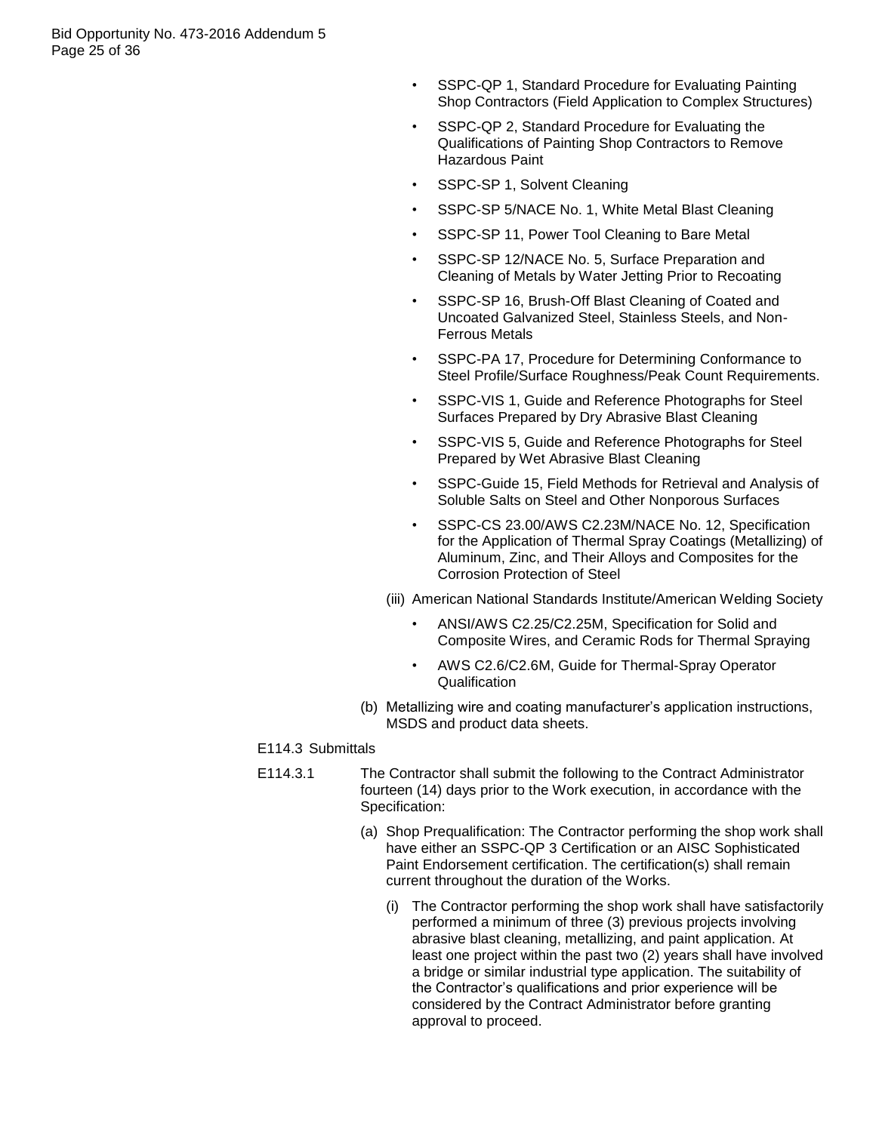- SSPC-QP 1, Standard Procedure for Evaluating Painting Shop Contractors (Field Application to Complex Structures)
- SSPC-QP 2, Standard Procedure for Evaluating the Qualifications of Painting Shop Contractors to Remove Hazardous Paint
- SSPC-SP 1, Solvent Cleaning
- SSPC-SP 5/NACE No. 1, White Metal Blast Cleaning
- SSPC-SP 11, Power Tool Cleaning to Bare Metal
- SSPC-SP 12/NACE No. 5, Surface Preparation and Cleaning of Metals by Water Jetting Prior to Recoating
- SSPC-SP 16, Brush-Off Blast Cleaning of Coated and Uncoated Galvanized Steel, Stainless Steels, and Non-Ferrous Metals
- SSPC-PA 17, Procedure for Determining Conformance to Steel Profile/Surface Roughness/Peak Count Requirements.
- SSPC-VIS 1, Guide and Reference Photographs for Steel Surfaces Prepared by Dry Abrasive Blast Cleaning
- SSPC-VIS 5, Guide and Reference Photographs for Steel Prepared by Wet Abrasive Blast Cleaning
- SSPC-Guide 15, Field Methods for Retrieval and Analysis of Soluble Salts on Steel and Other Nonporous Surfaces
- SSPC-CS 23.00/AWS C2.23M/NACE No. 12, Specification for the Application of Thermal Spray Coatings (Metallizing) of Aluminum, Zinc, and Their Alloys and Composites for the Corrosion Protection of Steel
- (iii) American National Standards Institute/American Welding Society
	- ANSI/AWS C2.25/C2.25M, Specification for Solid and Composite Wires, and Ceramic Rods for Thermal Spraying
	- AWS C2.6/C2.6M, Guide for Thermal-Spray Operator Qualification
- (b) Metallizing wire and coating manufacturer"s application instructions, MSDS and product data sheets.

## E114.3 Submittals

- E114.3.1 The Contractor shall submit the following to the Contract Administrator fourteen (14) days prior to the Work execution, in accordance with the Specification:
	- (a) Shop Prequalification: The Contractor performing the shop work shall have either an SSPC-QP 3 Certification or an AISC Sophisticated Paint Endorsement certification. The certification(s) shall remain current throughout the duration of the Works.
		- (i) The Contractor performing the shop work shall have satisfactorily performed a minimum of three (3) previous projects involving abrasive blast cleaning, metallizing, and paint application. At least one project within the past two (2) years shall have involved a bridge or similar industrial type application. The suitability of the Contractor"s qualifications and prior experience will be considered by the Contract Administrator before granting approval to proceed.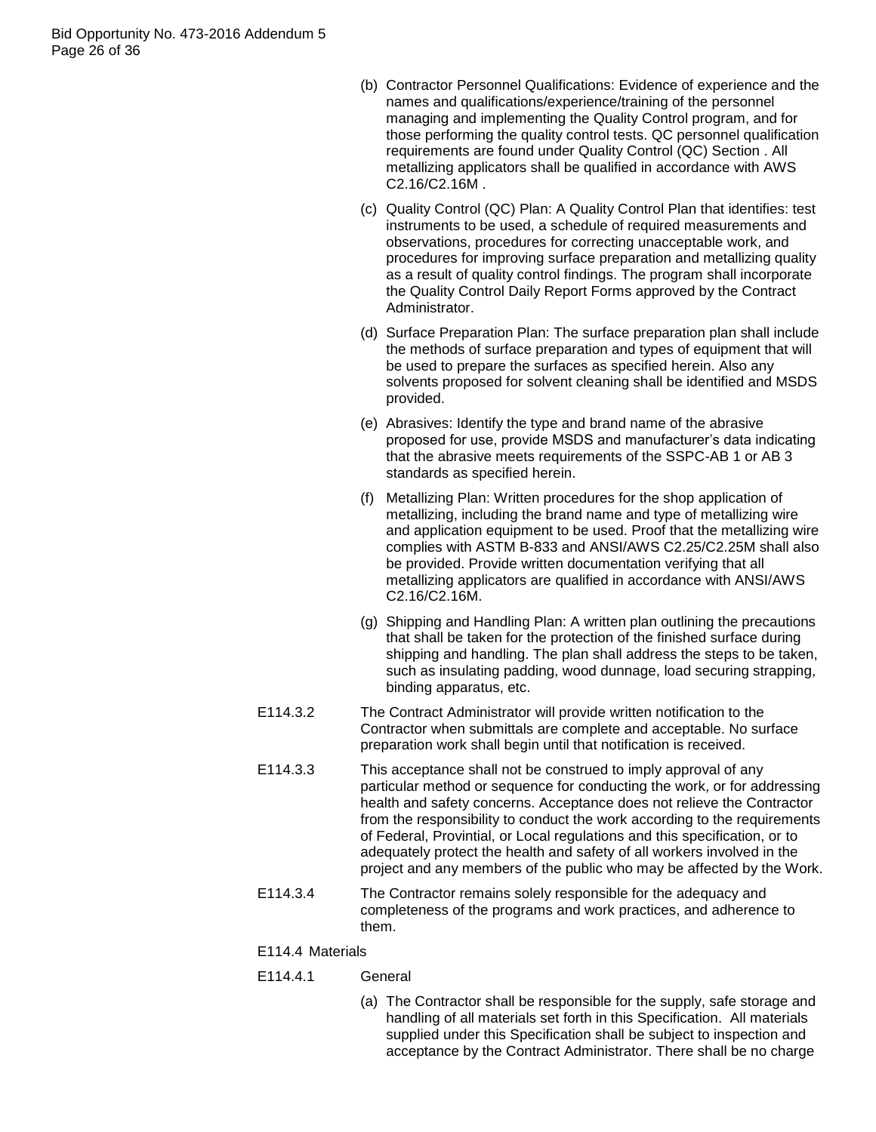Bid Opportunity No. 473-2016 Addendum 5 Page 26 of 36

- (b) Contractor Personnel Qualifications: Evidence of experience and the names and qualifications/experience/training of the personnel managing and implementing the Quality Control program, and for those performing the quality control tests. QC personnel qualification requirements are found under Quality Control (QC) Section . All metallizing applicators shall be qualified in accordance with AWS C2.16/C2.16M .
- (c) Quality Control (QC) Plan: A Quality Control Plan that identifies: test instruments to be used, a schedule of required measurements and observations, procedures for correcting unacceptable work, and procedures for improving surface preparation and metallizing quality as a result of quality control findings. The program shall incorporate the Quality Control Daily Report Forms approved by the Contract Administrator.
- (d) Surface Preparation Plan: The surface preparation plan shall include the methods of surface preparation and types of equipment that will be used to prepare the surfaces as specified herein. Also any solvents proposed for solvent cleaning shall be identified and MSDS provided.
- (e) Abrasives: Identify the type and brand name of the abrasive proposed for use, provide MSDS and manufacturer"s data indicating that the abrasive meets requirements of the SSPC-AB 1 or AB 3 standards as specified herein.
- (f) Metallizing Plan: Written procedures for the shop application of metallizing, including the brand name and type of metallizing wire and application equipment to be used. Proof that the metallizing wire complies with ASTM B-833 and ANSI/AWS C2.25/C2.25M shall also be provided. Provide written documentation verifying that all metallizing applicators are qualified in accordance with ANSI/AWS C2.16/C2.16M.
- (g) Shipping and Handling Plan: A written plan outlining the precautions that shall be taken for the protection of the finished surface during shipping and handling. The plan shall address the steps to be taken, such as insulating padding, wood dunnage, load securing strapping, binding apparatus, etc.
- E114.3.2 The Contract Administrator will provide written notification to the Contractor when submittals are complete and acceptable. No surface preparation work shall begin until that notification is received.
- E114.3.3 This acceptance shall not be construed to imply approval of any particular method or sequence for conducting the work, or for addressing health and safety concerns. Acceptance does not relieve the Contractor from the responsibility to conduct the work according to the requirements of Federal, Provintial, or Local regulations and this specification, or to adequately protect the health and safety of all workers involved in the project and any members of the public who may be affected by the Work.
- E114.3.4 The Contractor remains solely responsible for the adequacy and completeness of the programs and work practices, and adherence to them.

#### E114.4 Materials

## E114.4.1 General

(a) The Contractor shall be responsible for the supply, safe storage and handling of all materials set forth in this Specification. All materials supplied under this Specification shall be subject to inspection and acceptance by the Contract Administrator. There shall be no charge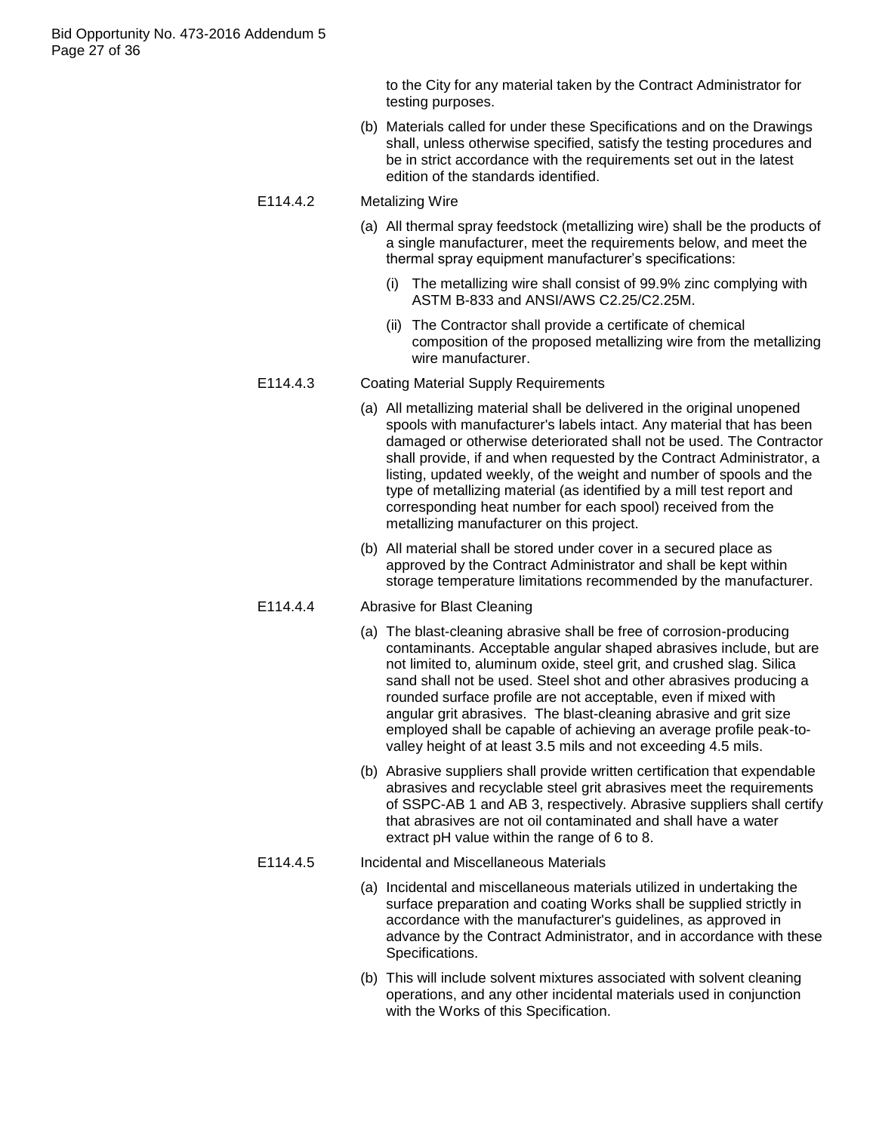to the City for any material taken by the Contract Administrator for testing purposes.

(b) Materials called for under these Specifications and on the Drawings shall, unless otherwise specified, satisfy the testing procedures and be in strict accordance with the requirements set out in the latest edition of the standards identified.

#### E114.4.2 Metalizing Wire

- (a) All thermal spray feedstock (metallizing wire) shall be the products of a single manufacturer, meet the requirements below, and meet the thermal spray equipment manufacturer"s specifications:
	- (i) The metallizing wire shall consist of 99.9% zinc complying with ASTM B-833 and ANSI/AWS C2.25/C2.25M.
	- (ii) The Contractor shall provide a certificate of chemical composition of the proposed metallizing wire from the metallizing wire manufacturer.

#### E114.4.3 Coating Material Supply Requirements

- (a) All metallizing material shall be delivered in the original unopened spools with manufacturer's labels intact. Any material that has been damaged or otherwise deteriorated shall not be used. The Contractor shall provide, if and when requested by the Contract Administrator, a listing, updated weekly, of the weight and number of spools and the type of metallizing material (as identified by a mill test report and corresponding heat number for each spool) received from the metallizing manufacturer on this project.
- (b) All material shall be stored under cover in a secured place as approved by the Contract Administrator and shall be kept within storage temperature limitations recommended by the manufacturer.

# E114.4.4 Abrasive for Blast Cleaning

- (a) The blast-cleaning abrasive shall be free of corrosion-producing contaminants. Acceptable angular shaped abrasives include, but are not limited to, aluminum oxide, steel grit, and crushed slag. Silica sand shall not be used. Steel shot and other abrasives producing a rounded surface profile are not acceptable, even if mixed with angular grit abrasives. The blast-cleaning abrasive and grit size employed shall be capable of achieving an average profile peak-tovalley height of at least 3.5 mils and not exceeding 4.5 mils.
- (b) Abrasive suppliers shall provide written certification that expendable abrasives and recyclable steel grit abrasives meet the requirements of SSPC-AB 1 and AB 3, respectively. Abrasive suppliers shall certify that abrasives are not oil contaminated and shall have a water extract pH value within the range of 6 to 8.

# E114.4.5 Incidental and Miscellaneous Materials

- (a) Incidental and miscellaneous materials utilized in undertaking the surface preparation and coating Works shall be supplied strictly in accordance with the manufacturer's guidelines, as approved in advance by the Contract Administrator, and in accordance with these Specifications.
- (b) This will include solvent mixtures associated with solvent cleaning operations, and any other incidental materials used in conjunction with the Works of this Specification.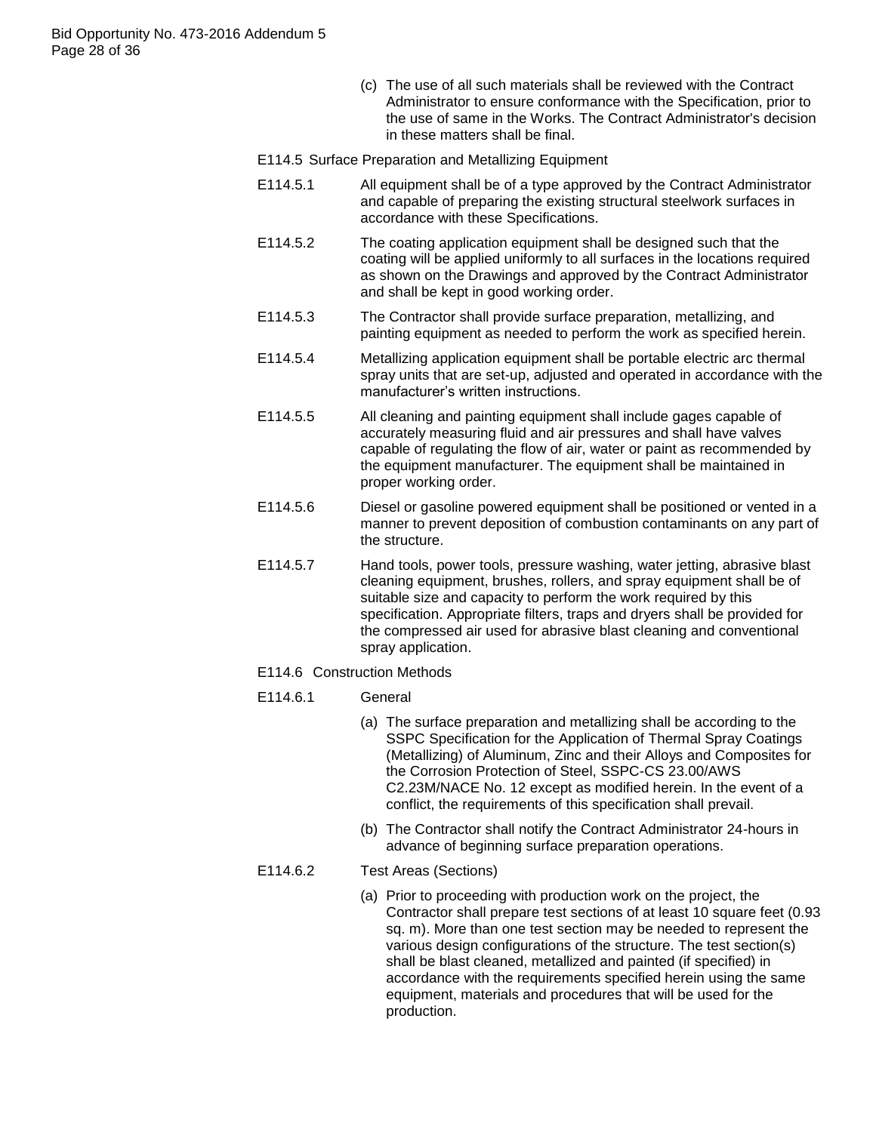(c) The use of all such materials shall be reviewed with the Contract Administrator to ensure conformance with the Specification, prior to the use of same in the Works. The Contract Administrator's decision in these matters shall be final.

## E114.5 Surface Preparation and Metallizing Equipment

- E114.5.1 All equipment shall be of a type approved by the Contract Administrator and capable of preparing the existing structural steelwork surfaces in accordance with these Specifications.
- E114.5.2 The coating application equipment shall be designed such that the coating will be applied uniformly to all surfaces in the locations required as shown on the Drawings and approved by the Contract Administrator and shall be kept in good working order.
- E114.5.3 The Contractor shall provide surface preparation, metallizing, and painting equipment as needed to perform the work as specified herein.
- E114.5.4 Metallizing application equipment shall be portable electric arc thermal spray units that are set-up, adjusted and operated in accordance with the manufacturer"s written instructions.
- E114.5.5 All cleaning and painting equipment shall include gages capable of accurately measuring fluid and air pressures and shall have valves capable of regulating the flow of air, water or paint as recommended by the equipment manufacturer. The equipment shall be maintained in proper working order.
- E114.5.6 Diesel or gasoline powered equipment shall be positioned or vented in a manner to prevent deposition of combustion contaminants on any part of the structure.
- E114.5.7 Hand tools, power tools, pressure washing, water jetting, abrasive blast cleaning equipment, brushes, rollers, and spray equipment shall be of suitable size and capacity to perform the work required by this specification. Appropriate filters, traps and dryers shall be provided for the compressed air used for abrasive blast cleaning and conventional spray application.

#### E114.6 Construction Methods

- E114.6.1 General
	- (a) The surface preparation and metallizing shall be according to the SSPC Specification for the Application of Thermal Spray Coatings (Metallizing) of Aluminum, Zinc and their Alloys and Composites for the Corrosion Protection of Steel, SSPC-CS 23.00/AWS C2.23M/NACE No. 12 except as modified herein. In the event of a conflict, the requirements of this specification shall prevail.
	- (b) The Contractor shall notify the Contract Administrator 24-hours in advance of beginning surface preparation operations.

#### E114.6.2 Test Areas (Sections)

(a) Prior to proceeding with production work on the project, the Contractor shall prepare test sections of at least 10 square feet (0.93 sq. m). More than one test section may be needed to represent the various design configurations of the structure. The test section(s) shall be blast cleaned, metallized and painted (if specified) in accordance with the requirements specified herein using the same equipment, materials and procedures that will be used for the production.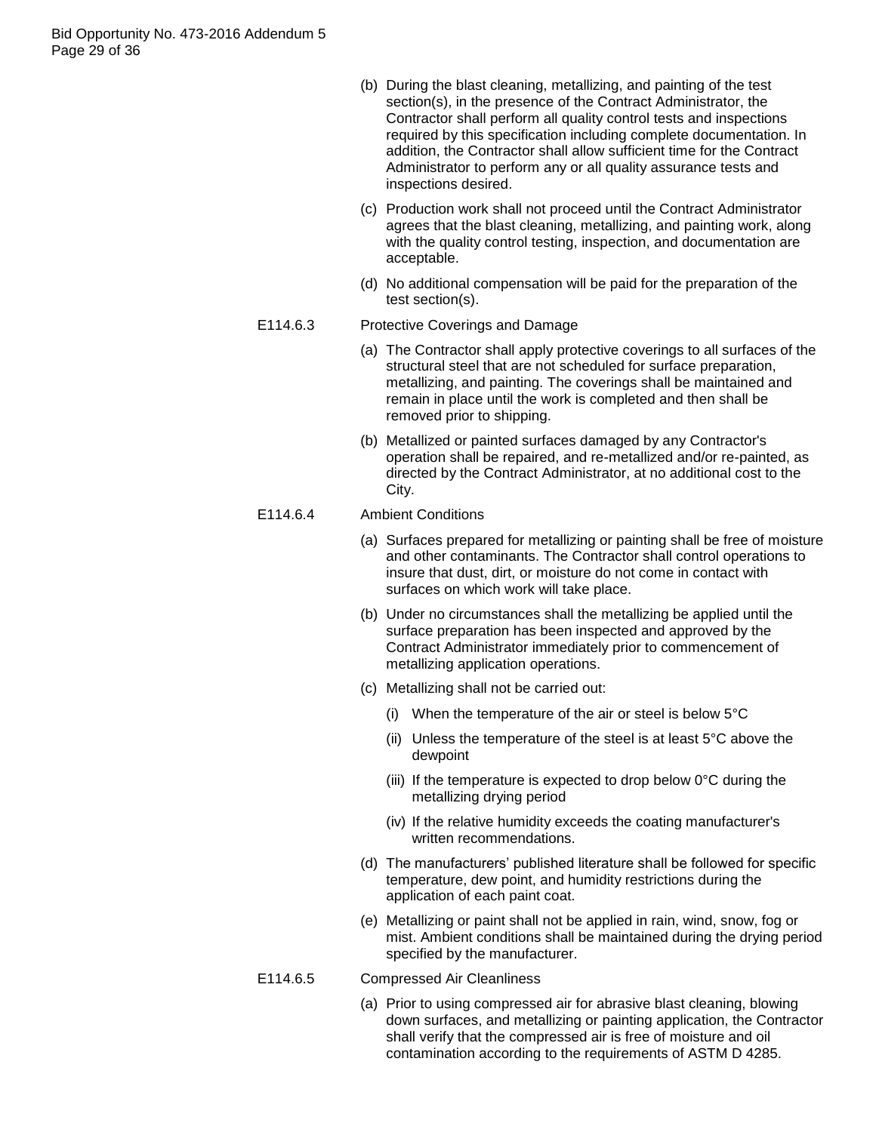Bid Opportunity No. 473-2016 Addendum 5 Page 29 of 36

- (b) During the blast cleaning, metallizing, and painting of the test section(s), in the presence of the Contract Administrator, the Contractor shall perform all quality control tests and inspections required by this specification including complete documentation. In addition, the Contractor shall allow sufficient time for the Contract Administrator to perform any or all quality assurance tests and inspections desired.
- (c) Production work shall not proceed until the Contract Administrator agrees that the blast cleaning, metallizing, and painting work, along with the quality control testing, inspection, and documentation are acceptable.
- (d) No additional compensation will be paid for the preparation of the test section(s).

## E114.6.3 Protective Coverings and Damage

- (a) The Contractor shall apply protective coverings to all surfaces of the structural steel that are not scheduled for surface preparation, metallizing, and painting. The coverings shall be maintained and remain in place until the work is completed and then shall be removed prior to shipping.
- (b) Metallized or painted surfaces damaged by any Contractor's operation shall be repaired, and re-metallized and/or re-painted, as directed by the Contract Administrator, at no additional cost to the City.

## E114.6.4 Ambient Conditions

- (a) Surfaces prepared for metallizing or painting shall be free of moisture and other contaminants. The Contractor shall control operations to insure that dust, dirt, or moisture do not come in contact with surfaces on which work will take place.
- (b) Under no circumstances shall the metallizing be applied until the surface preparation has been inspected and approved by the Contract Administrator immediately prior to commencement of metallizing application operations.
- (c) Metallizing shall not be carried out:
	- (i) When the temperature of the air or steel is below 5°C
	- (ii) Unless the temperature of the steel is at least 5°C above the dewpoint
	- (iii) If the temperature is expected to drop below 0°C during the metallizing drying period
	- (iv) If the relative humidity exceeds the coating manufacturer's written recommendations.
- (d) The manufacturers" published literature shall be followed for specific temperature, dew point, and humidity restrictions during the application of each paint coat.
- (e) Metallizing or paint shall not be applied in rain, wind, snow, fog or mist. Ambient conditions shall be maintained during the drying period specified by the manufacturer.
- E114.6.5 Compressed Air Cleanliness
	- (a) Prior to using compressed air for abrasive blast cleaning, blowing down surfaces, and metallizing or painting application, the Contractor shall verify that the compressed air is free of moisture and oil contamination according to the requirements of ASTM D 4285.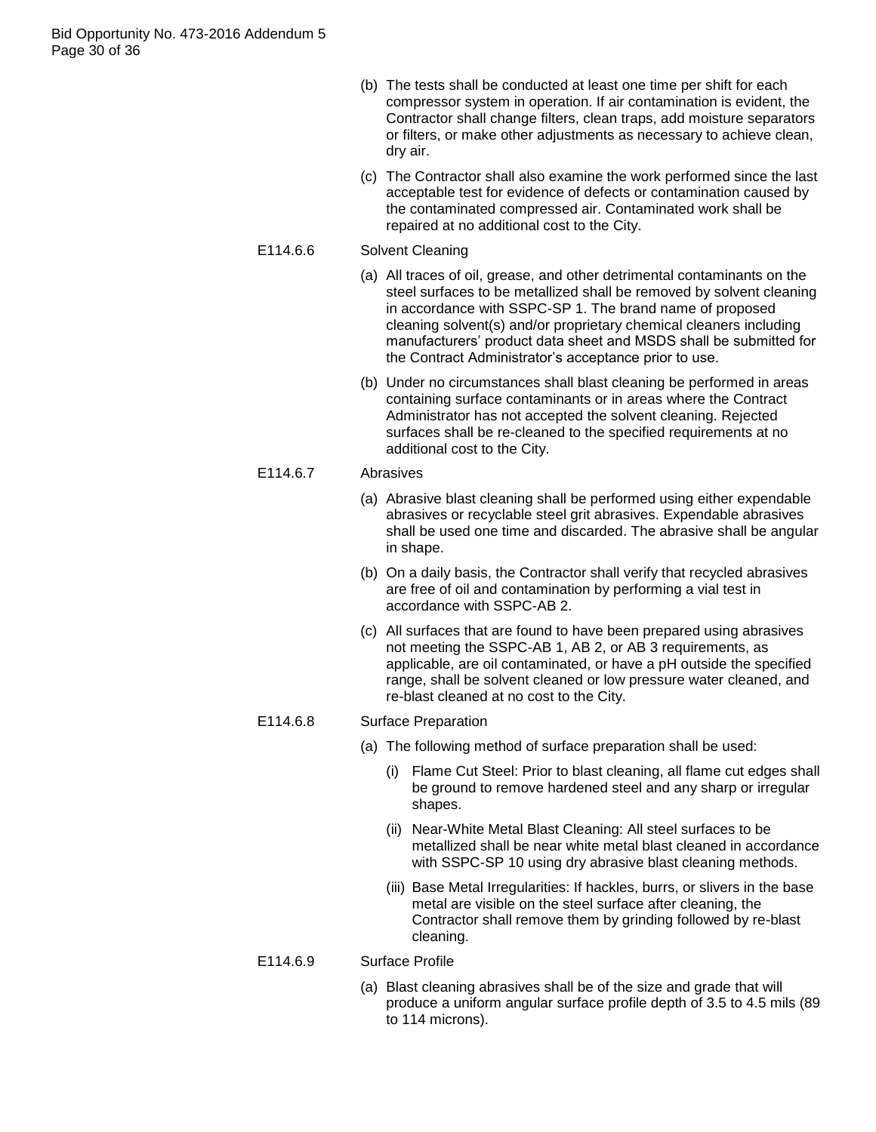- (b) The tests shall be conducted at least one time per shift for each compressor system in operation. If air contamination is evident, the Contractor shall change filters, clean traps, add moisture separators or filters, or make other adjustments as necessary to achieve clean, dry air.
- (c) The Contractor shall also examine the work performed since the last acceptable test for evidence of defects or contamination caused by the contaminated compressed air. Contaminated work shall be repaired at no additional cost to the City.

# E114.6.6 Solvent Cleaning

- (a) All traces of oil, grease, and other detrimental contaminants on the steel surfaces to be metallized shall be removed by solvent cleaning in accordance with SSPC-SP 1. The brand name of proposed cleaning solvent(s) and/or proprietary chemical cleaners including manufacturers" product data sheet and MSDS shall be submitted for the Contract Administrator"s acceptance prior to use.
- (b) Under no circumstances shall blast cleaning be performed in areas containing surface contaminants or in areas where the Contract Administrator has not accepted the solvent cleaning. Rejected surfaces shall be re-cleaned to the specified requirements at no additional cost to the City.

## E114.6.7 Abrasives

- (a) Abrasive blast cleaning shall be performed using either expendable abrasives or recyclable steel grit abrasives. Expendable abrasives shall be used one time and discarded. The abrasive shall be angular in shape.
- (b) On a daily basis, the Contractor shall verify that recycled abrasives are free of oil and contamination by performing a vial test in accordance with SSPC-AB 2.
- (c) All surfaces that are found to have been prepared using abrasives not meeting the SSPC-AB 1, AB 2, or AB 3 requirements, as applicable, are oil contaminated, or have a pH outside the specified range, shall be solvent cleaned or low pressure water cleaned, and re-blast cleaned at no cost to the City.

# E114.6.8 Surface Preparation

- (a) The following method of surface preparation shall be used:
	- (i) Flame Cut Steel: Prior to blast cleaning, all flame cut edges shall be ground to remove hardened steel and any sharp or irregular shapes.
	- (ii) Near-White Metal Blast Cleaning: All steel surfaces to be metallized shall be near white metal blast cleaned in accordance with SSPC-SP 10 using dry abrasive blast cleaning methods.
	- (iii) Base Metal Irregularities: If hackles, burrs, or slivers in the base metal are visible on the steel surface after cleaning, the Contractor shall remove them by grinding followed by re-blast cleaning.

## E114.6.9 Surface Profile

(a) Blast cleaning abrasives shall be of the size and grade that will produce a uniform angular surface profile depth of 3.5 to 4.5 mils (89 to 114 microns).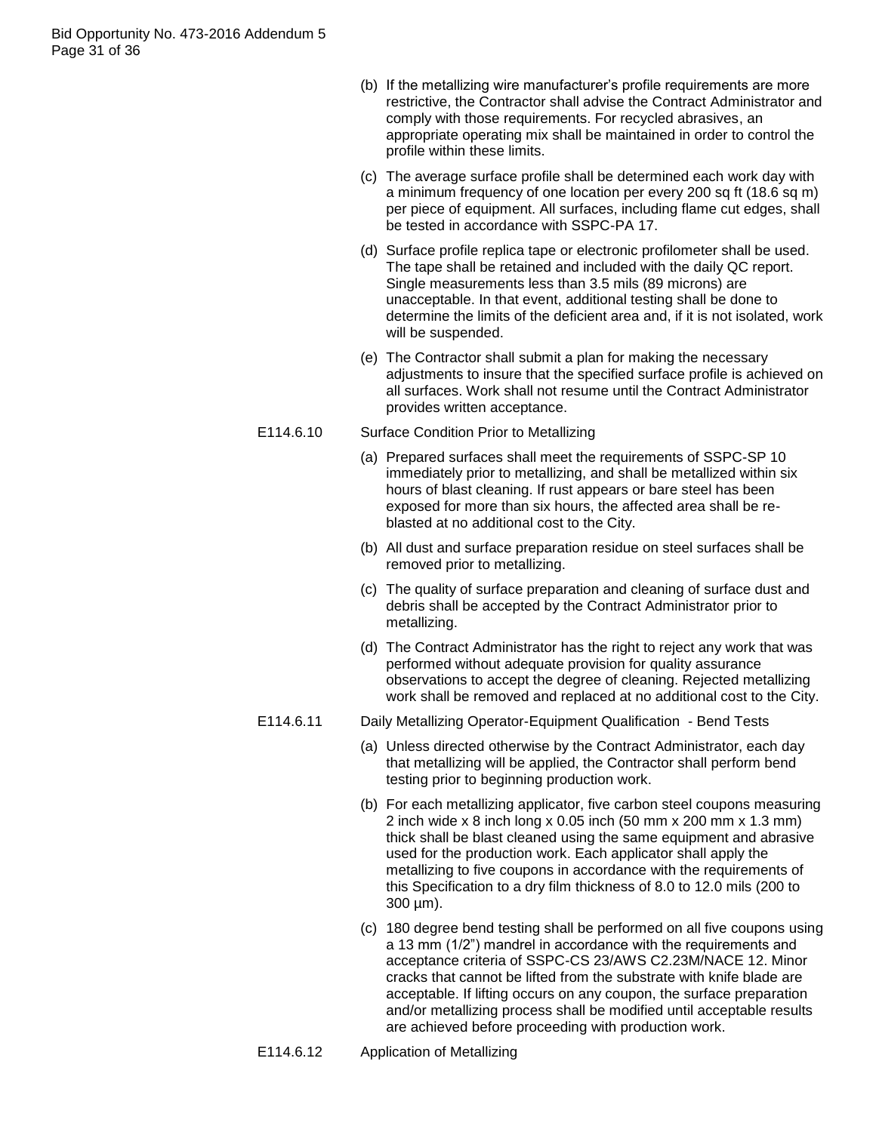- (b) If the metallizing wire manufacturer"s profile requirements are more restrictive, the Contractor shall advise the Contract Administrator and comply with those requirements. For recycled abrasives, an appropriate operating mix shall be maintained in order to control the profile within these limits.
- (c) The average surface profile shall be determined each work day with a minimum frequency of one location per every 200 sq ft (18.6 sq m) per piece of equipment. All surfaces, including flame cut edges, shall be tested in accordance with SSPC-PA 17.
- (d) Surface profile replica tape or electronic profilometer shall be used. The tape shall be retained and included with the daily QC report. Single measurements less than 3.5 mils (89 microns) are unacceptable. In that event, additional testing shall be done to determine the limits of the deficient area and, if it is not isolated, work will be suspended.
- (e) The Contractor shall submit a plan for making the necessary adjustments to insure that the specified surface profile is achieved on all surfaces. Work shall not resume until the Contract Administrator provides written acceptance.

# E114.6.10 Surface Condition Prior to Metallizing

- (a) Prepared surfaces shall meet the requirements of SSPC-SP 10 immediately prior to metallizing, and shall be metallized within six hours of blast cleaning. If rust appears or bare steel has been exposed for more than six hours, the affected area shall be reblasted at no additional cost to the City.
- (b) All dust and surface preparation residue on steel surfaces shall be removed prior to metallizing.
- (c) The quality of surface preparation and cleaning of surface dust and debris shall be accepted by the Contract Administrator prior to metallizing.
- (d) The Contract Administrator has the right to reject any work that was performed without adequate provision for quality assurance observations to accept the degree of cleaning. Rejected metallizing work shall be removed and replaced at no additional cost to the City.

# E114.6.11 Daily Metallizing Operator-Equipment Qualification - Bend Tests

- (a) Unless directed otherwise by the Contract Administrator, each day that metallizing will be applied, the Contractor shall perform bend testing prior to beginning production work.
- (b) For each metallizing applicator, five carbon steel coupons measuring 2 inch wide x 8 inch long x 0.05 inch (50 mm x 200 mm x 1.3 mm) thick shall be blast cleaned using the same equipment and abrasive used for the production work. Each applicator shall apply the metallizing to five coupons in accordance with the requirements of this Specification to a dry film thickness of 8.0 to 12.0 mils (200 to 300 µm).
- (c) 180 degree bend testing shall be performed on all five coupons using a 13 mm (1/2") mandrel in accordance with the requirements and acceptance criteria of SSPC-CS 23/AWS C2.23M/NACE 12. Minor cracks that cannot be lifted from the substrate with knife blade are acceptable. If lifting occurs on any coupon, the surface preparation and/or metallizing process shall be modified until acceptable results are achieved before proceeding with production work.

# E114.6.12 Application of Metallizing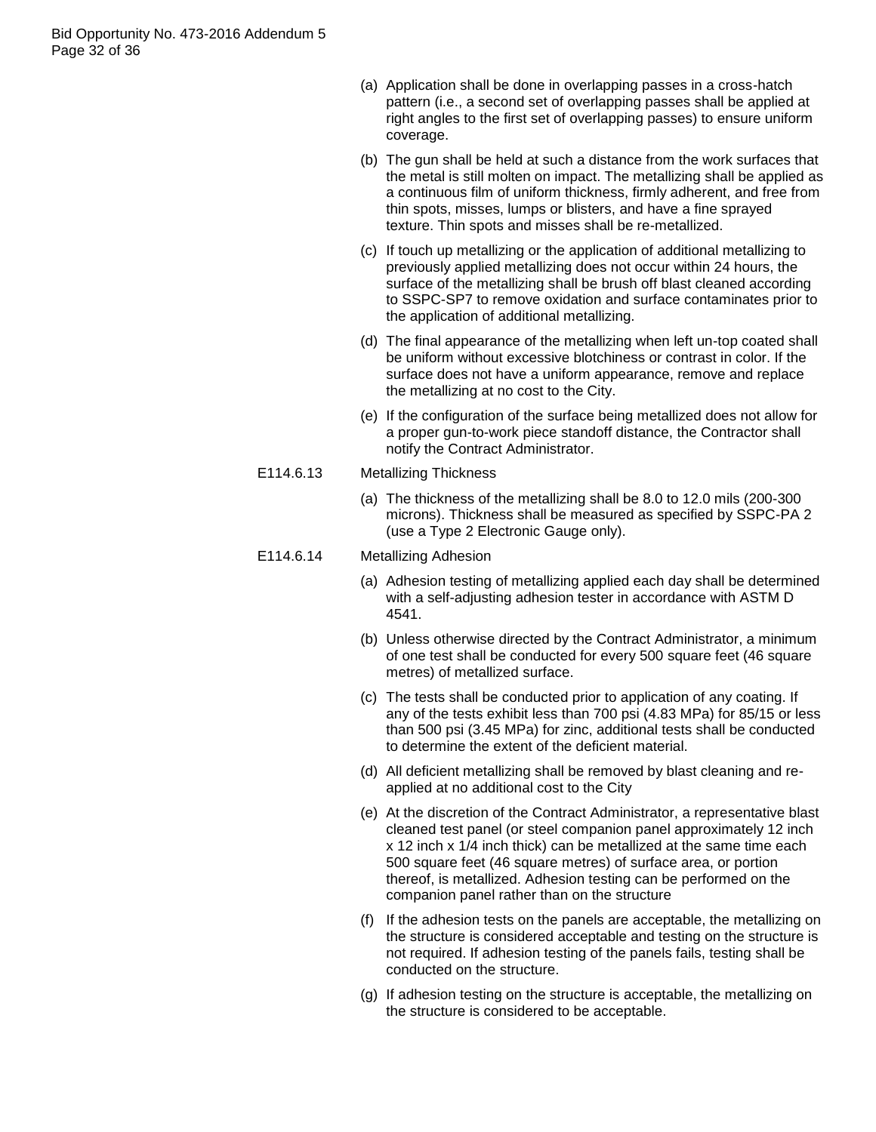- (a) Application shall be done in overlapping passes in a cross-hatch pattern (i.e., a second set of overlapping passes shall be applied at right angles to the first set of overlapping passes) to ensure uniform coverage.
- (b) The gun shall be held at such a distance from the work surfaces that the metal is still molten on impact. The metallizing shall be applied as a continuous film of uniform thickness, firmly adherent, and free from thin spots, misses, lumps or blisters, and have a fine sprayed texture. Thin spots and misses shall be re-metallized.
- (c) If touch up metallizing or the application of additional metallizing to previously applied metallizing does not occur within 24 hours, the surface of the metallizing shall be brush off blast cleaned according to SSPC-SP7 to remove oxidation and surface contaminates prior to the application of additional metallizing.
- (d) The final appearance of the metallizing when left un-top coated shall be uniform without excessive blotchiness or contrast in color. If the surface does not have a uniform appearance, remove and replace the metallizing at no cost to the City.
- (e) If the configuration of the surface being metallized does not allow for a proper gun-to-work piece standoff distance, the Contractor shall notify the Contract Administrator.
- E114.6.13 Metallizing Thickness
	- (a) The thickness of the metallizing shall be 8.0 to 12.0 mils (200-300 microns). Thickness shall be measured as specified by SSPC-PA 2 (use a Type 2 Electronic Gauge only).

## E114.6.14 Metallizing Adhesion

- (a) Adhesion testing of metallizing applied each day shall be determined with a self-adjusting adhesion tester in accordance with ASTM D 4541.
- (b) Unless otherwise directed by the Contract Administrator, a minimum of one test shall be conducted for every 500 square feet (46 square metres) of metallized surface.
- (c) The tests shall be conducted prior to application of any coating. If any of the tests exhibit less than 700 psi (4.83 MPa) for 85/15 or less than 500 psi (3.45 MPa) for zinc, additional tests shall be conducted to determine the extent of the deficient material.
- (d) All deficient metallizing shall be removed by blast cleaning and reapplied at no additional cost to the City
- (e) At the discretion of the Contract Administrator, a representative blast cleaned test panel (or steel companion panel approximately 12 inch x 12 inch x 1/4 inch thick) can be metallized at the same time each 500 square feet (46 square metres) of surface area, or portion thereof, is metallized. Adhesion testing can be performed on the companion panel rather than on the structure
- (f) If the adhesion tests on the panels are acceptable, the metallizing on the structure is considered acceptable and testing on the structure is not required. If adhesion testing of the panels fails, testing shall be conducted on the structure.
- (g) If adhesion testing on the structure is acceptable, the metallizing on the structure is considered to be acceptable.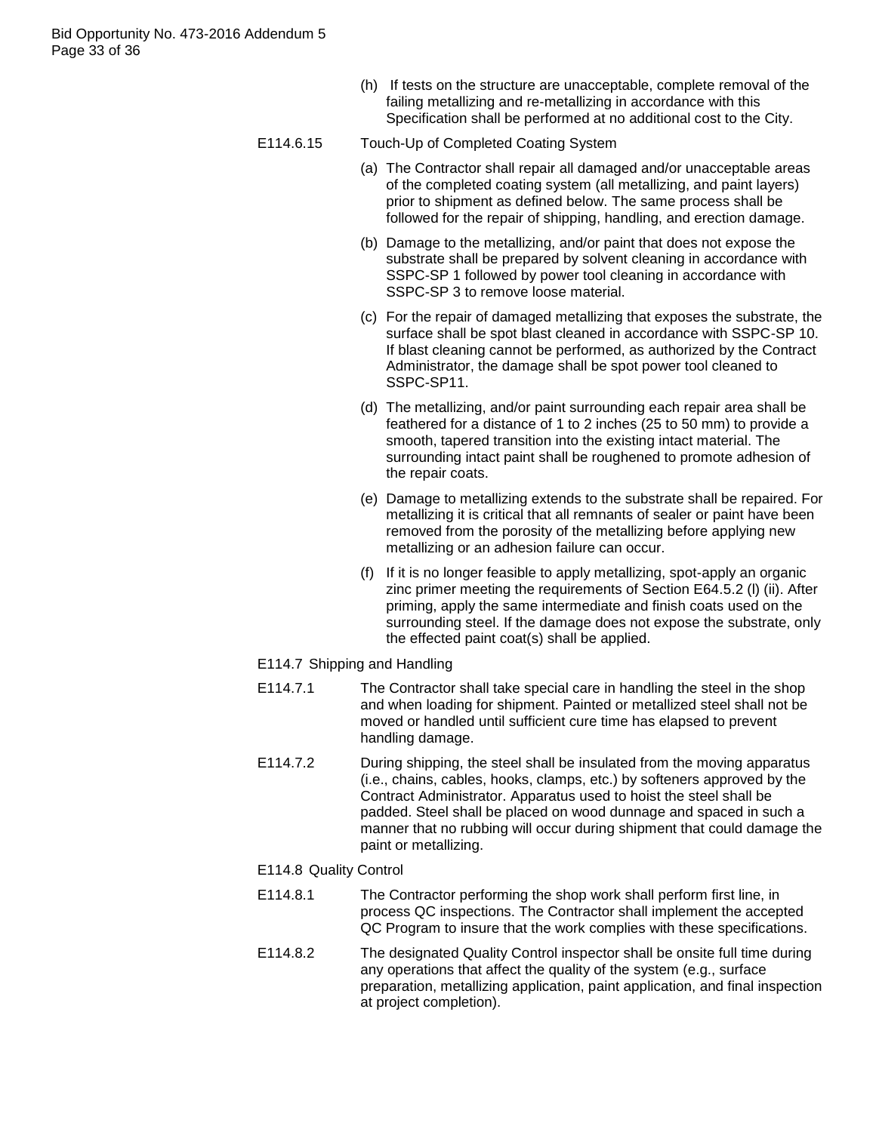(h) If tests on the structure are unacceptable, complete removal of the failing metallizing and re-metallizing in accordance with this Specification shall be performed at no additional cost to the City.

## E114.6.15 Touch-Up of Completed Coating System

- (a) The Contractor shall repair all damaged and/or unacceptable areas of the completed coating system (all metallizing, and paint layers) prior to shipment as defined below. The same process shall be followed for the repair of shipping, handling, and erection damage.
- (b) Damage to the metallizing, and/or paint that does not expose the substrate shall be prepared by solvent cleaning in accordance with SSPC-SP 1 followed by power tool cleaning in accordance with SSPC-SP 3 to remove loose material.
- (c) For the repair of damaged metallizing that exposes the substrate, the surface shall be spot blast cleaned in accordance with SSPC-SP 10. If blast cleaning cannot be performed, as authorized by the Contract Administrator, the damage shall be spot power tool cleaned to SSPC-SP11.
- (d) The metallizing, and/or paint surrounding each repair area shall be feathered for a distance of 1 to 2 inches (25 to 50 mm) to provide a smooth, tapered transition into the existing intact material. The surrounding intact paint shall be roughened to promote adhesion of the repair coats.
- (e) Damage to metallizing extends to the substrate shall be repaired. For metallizing it is critical that all remnants of sealer or paint have been removed from the porosity of the metallizing before applying new metallizing or an adhesion failure can occur.
- (f) If it is no longer feasible to apply metallizing, spot-apply an organic zinc primer meeting the requirements of Section E64.5.2 (l) (ii). After priming, apply the same intermediate and finish coats used on the surrounding steel. If the damage does not expose the substrate, only the effected paint coat(s) shall be applied.

## E114.7 Shipping and Handling

- E114.7.1 The Contractor shall take special care in handling the steel in the shop and when loading for shipment. Painted or metallized steel shall not be moved or handled until sufficient cure time has elapsed to prevent handling damage.
- E114.7.2 During shipping, the steel shall be insulated from the moving apparatus (i.e., chains, cables, hooks, clamps, etc.) by softeners approved by the Contract Administrator. Apparatus used to hoist the steel shall be padded. Steel shall be placed on wood dunnage and spaced in such a manner that no rubbing will occur during shipment that could damage the paint or metallizing.
- E114.8 Quality Control
- E114.8.1 The Contractor performing the shop work shall perform first line, in process QC inspections. The Contractor shall implement the accepted QC Program to insure that the work complies with these specifications.
- E114.8.2 The designated Quality Control inspector shall be onsite full time during any operations that affect the quality of the system (e.g., surface preparation, metallizing application, paint application, and final inspection at project completion).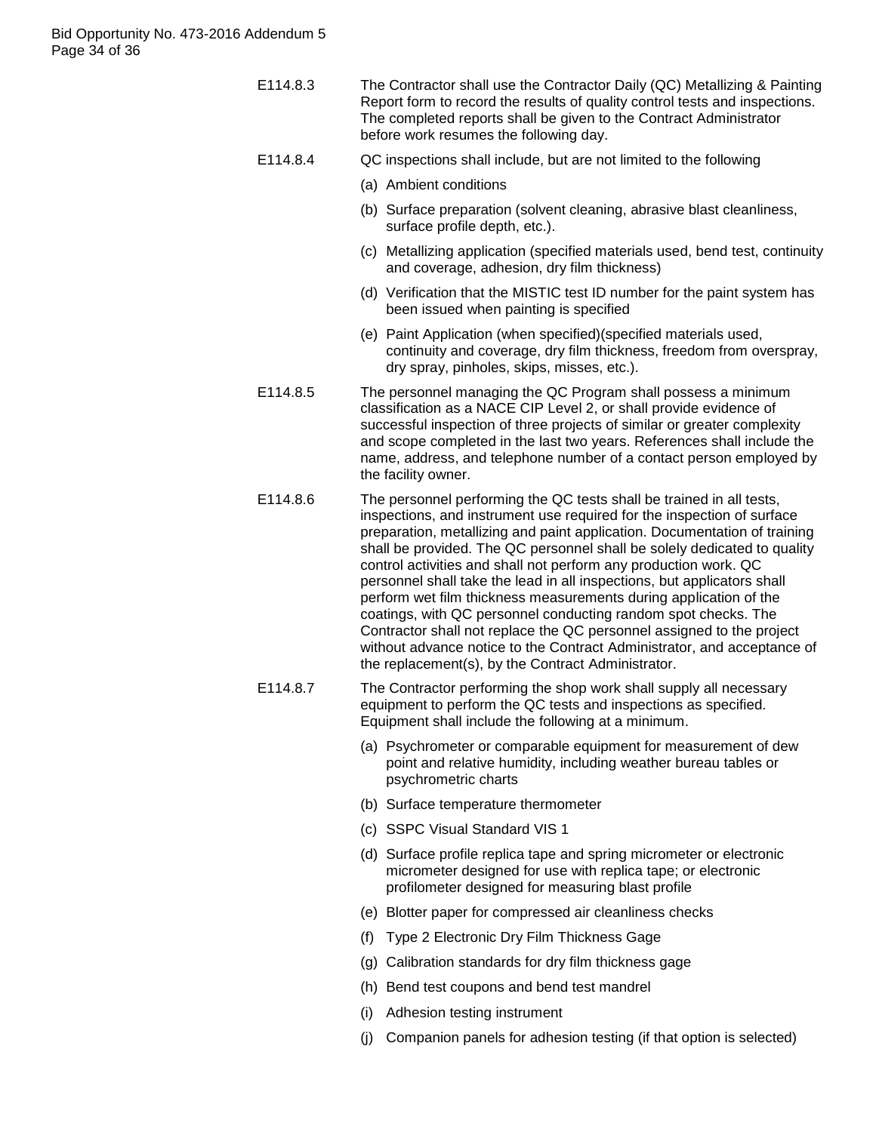| E114.8.3 | The Contractor shall use the Contractor Daily (QC) Metallizing & Painting   |
|----------|-----------------------------------------------------------------------------|
|          | Report form to record the results of quality control tests and inspections. |
|          | The completed reports shall be given to the Contract Administrator          |
|          | before work resumes the following day.                                      |

- E114.8.4 QC inspections shall include, but are not limited to the following
	- (a) Ambient conditions
	- (b) Surface preparation (solvent cleaning, abrasive blast cleanliness, surface profile depth, etc.).
	- (c) Metallizing application (specified materials used, bend test, continuity and coverage, adhesion, dry film thickness)
	- (d) Verification that the MISTIC test ID number for the paint system has been issued when painting is specified
	- (e) Paint Application (when specified)(specified materials used, continuity and coverage, dry film thickness, freedom from overspray, dry spray, pinholes, skips, misses, etc.).
- E114.8.5 The personnel managing the QC Program shall possess a minimum classification as a NACE CIP Level 2, or shall provide evidence of successful inspection of three projects of similar or greater complexity and scope completed in the last two years. References shall include the name, address, and telephone number of a contact person employed by the facility owner.
- E114.8.6 The personnel performing the QC tests shall be trained in all tests, inspections, and instrument use required for the inspection of surface preparation, metallizing and paint application. Documentation of training shall be provided. The QC personnel shall be solely dedicated to quality control activities and shall not perform any production work. QC personnel shall take the lead in all inspections, but applicators shall perform wet film thickness measurements during application of the coatings, with QC personnel conducting random spot checks. The Contractor shall not replace the QC personnel assigned to the project without advance notice to the Contract Administrator, and acceptance of the replacement(s), by the Contract Administrator.
- E114.8.7 The Contractor performing the shop work shall supply all necessary equipment to perform the QC tests and inspections as specified. Equipment shall include the following at a minimum.
	- (a) Psychrometer or comparable equipment for measurement of dew point and relative humidity, including weather bureau tables or psychrometric charts
	- (b) Surface temperature thermometer
	- (c) SSPC Visual Standard VIS 1
	- (d) Surface profile replica tape and spring micrometer or electronic micrometer designed for use with replica tape; or electronic profilometer designed for measuring blast profile
	- (e) Blotter paper for compressed air cleanliness checks
	- (f) Type 2 Electronic Dry Film Thickness Gage
	- (g) Calibration standards for dry film thickness gage
	- (h) Bend test coupons and bend test mandrel
	- (i) Adhesion testing instrument
	- (j) Companion panels for adhesion testing (if that option is selected)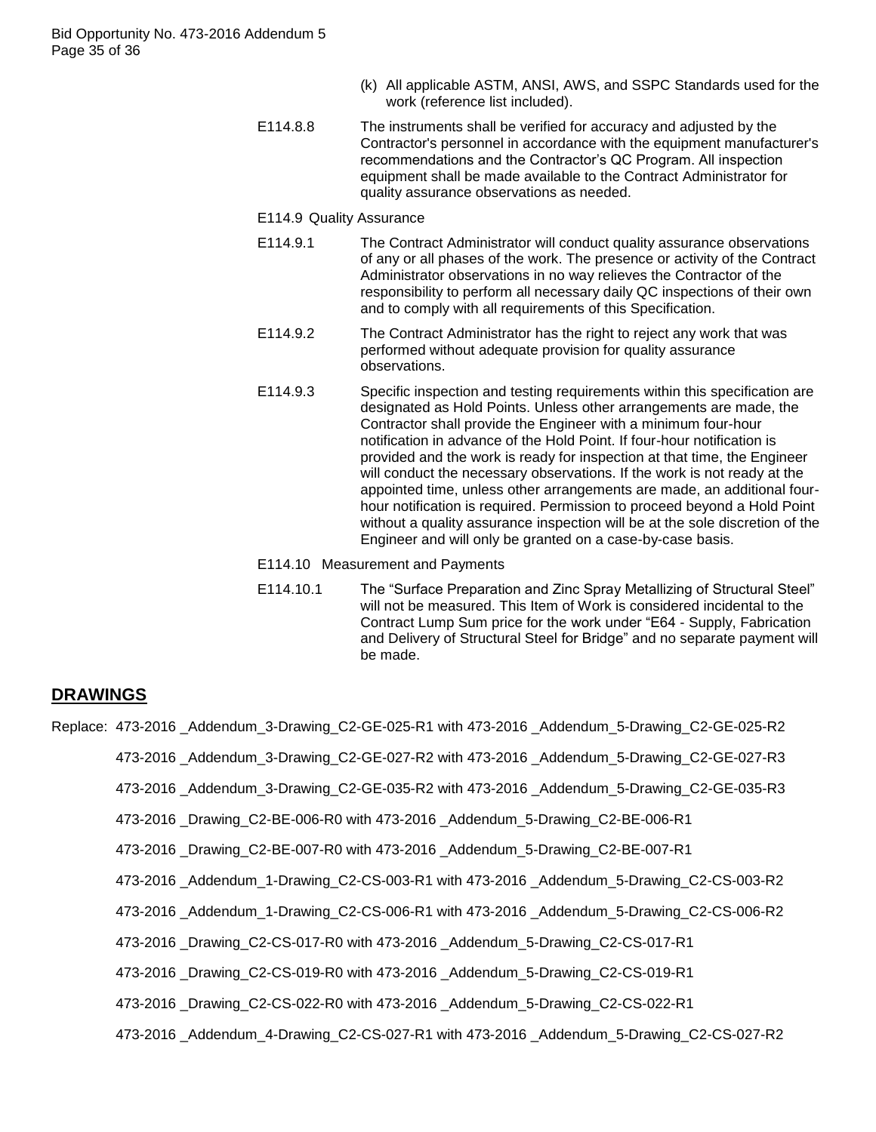- (k) All applicable ASTM, ANSI, AWS, and SSPC Standards used for the work (reference list included).
- E114.8.8 The instruments shall be verified for accuracy and adjusted by the Contractor's personnel in accordance with the equipment manufacturer's recommendations and the Contractor"s QC Program. All inspection equipment shall be made available to the Contract Administrator for quality assurance observations as needed.
- E114.9 Quality Assurance
- E114.9.1 The Contract Administrator will conduct quality assurance observations of any or all phases of the work. The presence or activity of the Contract Administrator observations in no way relieves the Contractor of the responsibility to perform all necessary daily QC inspections of their own and to comply with all requirements of this Specification.
- E114.9.2 The Contract Administrator has the right to reject any work that was performed without adequate provision for quality assurance observations.
- E114.9.3 Specific inspection and testing requirements within this specification are designated as Hold Points. Unless other arrangements are made, the Contractor shall provide the Engineer with a minimum four-hour notification in advance of the Hold Point. If four-hour notification is provided and the work is ready for inspection at that time, the Engineer will conduct the necessary observations. If the work is not ready at the appointed time, unless other arrangements are made, an additional fourhour notification is required. Permission to proceed beyond a Hold Point without a quality assurance inspection will be at the sole discretion of the Engineer and will only be granted on a case-by-case basis.
- E114.10 Measurement and Payments
- E114.10.1 The "Surface Preparation and Zinc Spray Metallizing of Structural Steel" will not be measured. This Item of Work is considered incidental to the Contract Lump Sum price for the work under "E64 - Supply, Fabrication and Delivery of Structural Steel for Bridge" and no separate payment will be made.

# **DRAWINGS**

- Replace: 473-2016 Addendum 3-Drawing C2-GE-025-R1 with 473-2016 Addendum 5-Drawing C2-GE-025-R2
	- 473-2016 \_Addendum\_3-Drawing\_C2-GE-027-R2 with 473-2016 \_Addendum\_5-Drawing\_C2-GE-027-R3
	- 473-2016 \_Addendum\_3-Drawing\_C2-GE-035-R2 with 473-2016 \_Addendum\_5-Drawing\_C2-GE-035-R3
	- 473-2016 \_Drawing\_C2-BE-006-R0 with 473-2016 \_Addendum\_5-Drawing\_C2-BE-006-R1
	- 473-2016 \_Drawing\_C2-BE-007-R0 with 473-2016 \_Addendum\_5-Drawing\_C2-BE-007-R1
	- 473-2016 \_Addendum\_1-Drawing\_C2-CS-003-R1 with 473-2016 \_Addendum\_5-Drawing\_C2-CS-003-R2
	- 473-2016 \_Addendum\_1-Drawing\_C2-CS-006-R1 with 473-2016 \_Addendum\_5-Drawing\_C2-CS-006-R2
	- 473-2016 \_Drawing\_C2-CS-017-R0 with 473-2016 \_Addendum\_5-Drawing\_C2-CS-017-R1
	- 473-2016 \_Drawing\_C2-CS-019-R0 with 473-2016 \_Addendum\_5-Drawing\_C2-CS-019-R1
	- 473-2016 \_Drawing\_C2-CS-022-R0 with 473-2016 \_Addendum\_5-Drawing\_C2-CS-022-R1
	- 473-2016 \_Addendum\_4-Drawing\_C2-CS-027-R1 with 473-2016 \_Addendum\_5-Drawing\_C2-CS-027-R2